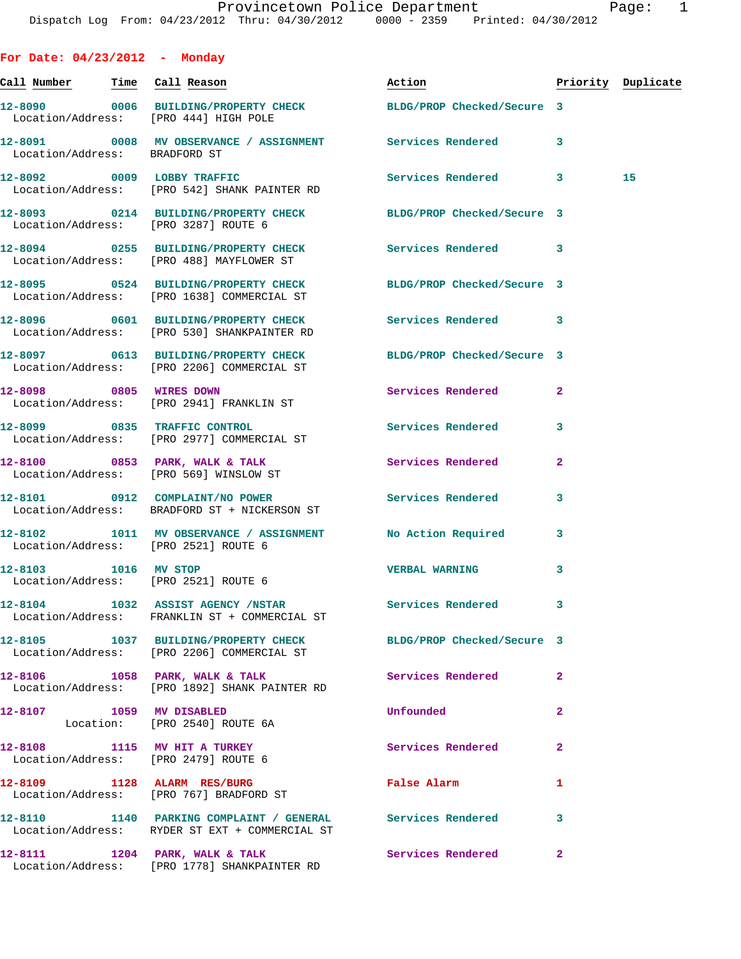| For Date: $04/23/2012$ - Monday                                      |                                                                                                               |                            |                         |                    |
|----------------------------------------------------------------------|---------------------------------------------------------------------------------------------------------------|----------------------------|-------------------------|--------------------|
| <u>Call Number — Time Call Reason</u>                                |                                                                                                               | Action                     |                         | Priority Duplicate |
| Location/Address: [PRO 444] HIGH POLE                                | 12-8090 0006 BUILDING/PROPERTY CHECK BLDG/PROP Checked/Secure 3                                               |                            |                         |                    |
| Location/Address: BRADFORD ST                                        | 12-8091 0008 MV OBSERVANCE / ASSIGNMENT Services Rendered 3                                                   |                            |                         |                    |
|                                                                      | 12-8092 0009 LOBBY TRAFFIC<br>Location/Address: [PRO 542] SHANK PAINTER RD                                    | Services Rendered 3        |                         | 15                 |
| Location/Address: [PRO 3287] ROUTE 6                                 | 12-8093 0214 BUILDING/PROPERTY CHECK BLDG/PROP Checked/Secure 3                                               |                            |                         |                    |
|                                                                      | 12-8094 0255 BUILDING/PROPERTY CHECK Services Rendered 3<br>Location/Address: [PRO 488] MAYFLOWER ST          |                            |                         |                    |
|                                                                      | 12-8095 0524 BUILDING/PROPERTY CHECK BLDG/PROP Checked/Secure 3<br>Location/Address: [PRO 1638] COMMERCIAL ST |                            |                         |                    |
|                                                                      | 12-8096 0601 BUILDING/PROPERTY CHECK<br>Location/Address: [PRO 530] SHANKPAINTER RD                           | <b>Services Rendered</b>   | $\overline{\mathbf{3}}$ |                    |
|                                                                      | 12-8097 0613 BUILDING/PROPERTY CHECK<br>Location/Address: [PRO 2206] COMMERCIAL ST                            | BLDG/PROP Checked/Secure 3 |                         |                    |
|                                                                      | 12-8098 0805 WIRES DOWN<br>Location/Address: [PRO 2941] FRANKLIN ST                                           | Services Rendered          | $\overline{a}$          |                    |
|                                                                      | 12-8099 0835 TRAFFIC CONTROL<br>Location/Address: [PRO 2977] COMMERCIAL ST                                    | <b>Services Rendered</b>   | 3                       |                    |
| Location/Address: [PRO 569] WINSLOW ST                               | 12-8100 0853 PARK, WALK & TALK                                                                                | Services Rendered          | $\overline{a}$          |                    |
|                                                                      | 12-8101 0912 COMPLAINT/NO POWER<br>Location/Address: BRADFORD ST + NICKERSON ST                               | Services Rendered          | 3                       |                    |
| Location/Address: [PRO 2521] ROUTE 6                                 | 12-8102 1011 MV OBSERVANCE / ASSIGNMENT No Action Required                                                    |                            | 3                       |                    |
| 12-8103 1016 MV STOP<br>Location/Address: [PRO 2521] ROUTE 6         |                                                                                                               | <b>VERBAL WARNING</b>      | 3                       |                    |
|                                                                      | 12-8104 1032 ASSIST AGENCY /NSTAR<br>Location/Address: FRANKLIN ST + COMMERCIAL ST                            | Services Rendered          | 3                       |                    |
|                                                                      | 12-8105 1037 BUILDING/PROPERTY CHECK<br>Location/Address: [PRO 2206] COMMERCIAL ST                            | BLDG/PROP Checked/Secure 3 |                         |                    |
|                                                                      | 12-8106 1058 PARK, WALK & TALK<br>Location/Address: [PRO 1892] SHANK PAINTER RD                               | <b>Services Rendered</b>   | $\overline{a}$          |                    |
| 12-8107 1059 MV DISABLED                                             | Location: [PRO 2540] ROUTE 6A                                                                                 | Unfounded                  | $\overline{a}$          |                    |
| 12-8108 1115 MV HIT A TURKEY<br>Location/Address: [PRO 2479] ROUTE 6 |                                                                                                               | Services Rendered          | $\overline{a}$          |                    |
|                                                                      | 12-8109 1128 ALARM RES/BURG<br>Location/Address: [PRO 767] BRADFORD ST                                        | False Alarm                | 1                       |                    |
|                                                                      | 12-8110 1140 PARKING COMPLAINT / GENERAL Services Rendered<br>Location/Address: RYDER ST EXT + COMMERCIAL ST  |                            | 3                       |                    |
|                                                                      | 12-8111 1204 PARK, WALK & TALK<br>Location/Address: [PRO 1778] SHANKPAINTER RD                                | Services Rendered          | $\mathbf{2}$            |                    |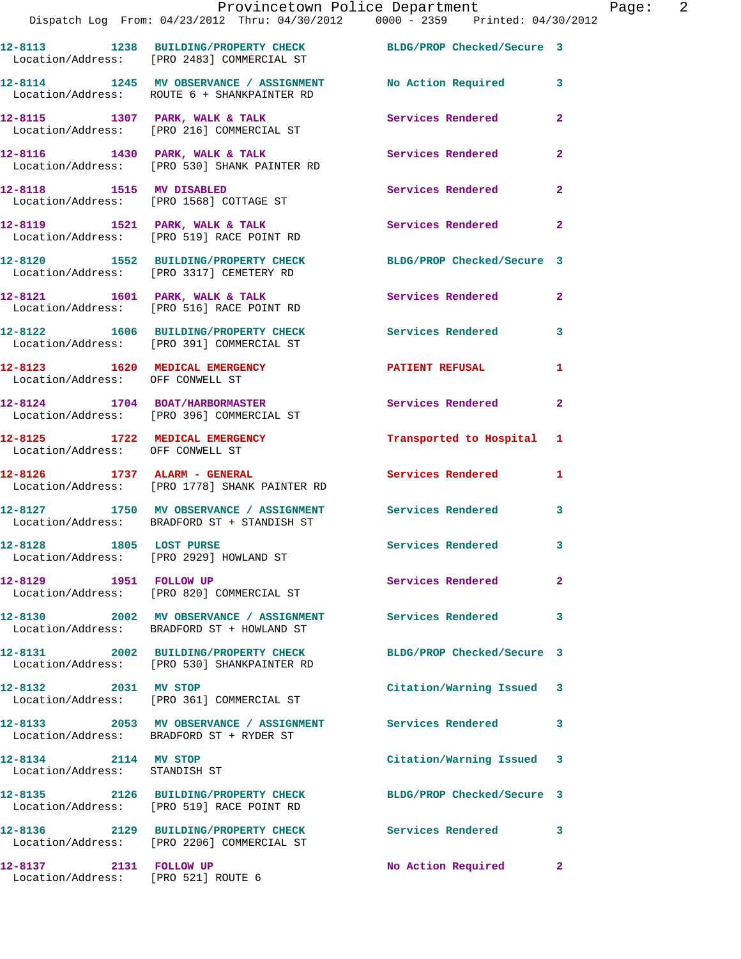|                                                                    | 12-8113 1238 BUILDING/PROPERTY CHECK<br>Location/Address: [PRO 2483] COMMERCIAL ST                       | BLDG/PROP Checked/Secure 3 |                |
|--------------------------------------------------------------------|----------------------------------------------------------------------------------------------------------|----------------------------|----------------|
|                                                                    | 12-8114 1245 MV OBSERVANCE / ASSIGNMENT<br>Location/Address: ROUTE 6 + SHANKPAINTER RD                   | No Action Required         | 3              |
|                                                                    | 12-8115 1307 PARK, WALK & TALK<br>Location/Address: [PRO 216] COMMERCIAL ST                              | Services Rendered          | $\overline{2}$ |
|                                                                    | 12-8116 1430 PARK, WALK & TALK<br>Location/Address: [PRO 530] SHANK PAINTER RD                           | Services Rendered          | $\mathbf{2}$   |
| 12-8118 1515 MV DISABLED                                           | Location/Address: [PRO 1568] COTTAGE ST                                                                  | Services Rendered          | $\mathbf{2}$   |
|                                                                    | 12-8119 1521 PARK, WALK & TALK<br>Location/Address: [PRO 519] RACE POINT RD                              | Services Rendered          | $\mathbf{2}$   |
|                                                                    | 12-8120 1552 BUILDING/PROPERTY CHECK<br>Location/Address: [PRO 3317] CEMETERY RD                         | BLDG/PROP Checked/Secure 3 |                |
|                                                                    | 12-8121 1601 PARK, WALK & TALK<br>Location/Address: [PRO 516] RACE POINT RD                              | Services Rendered          | $\mathbf{2}$   |
|                                                                    | 12-8122 1606 BUILDING/PROPERTY CHECK<br>Location/Address: [PRO 391] COMMERCIAL ST                        | <b>Services Rendered</b>   | 3              |
| 12-8123 1620 MEDICAL EMERGENCY<br>Location/Address: OFF CONWELL ST |                                                                                                          | <b>PATIENT REFUSAL</b>     | 1              |
|                                                                    | 12-8124 1704 BOAT/HARBORMASTER<br>Location/Address: [PRO 396] COMMERCIAL ST                              | <b>Services Rendered</b>   | $\mathbf{2}$   |
| 12-8125 1722 MEDICAL EMERGENCY<br>Location/Address: OFF CONWELL ST |                                                                                                          | Transported to Hospital 1  |                |
| 12-8126 1737 ALARM - GENERAL                                       | Location/Address: [PRO 1778] SHANK PAINTER RD                                                            | Services Rendered          | $\mathbf{1}$   |
|                                                                    | 12-8127 1750 MV OBSERVANCE / ASSIGNMENT Services Rendered<br>Location/Address: BRADFORD ST + STANDISH ST |                            | 3              |
| 12-8128 1805 LOST PURSE                                            | Location/Address: [PRO 2929] HOWLAND ST                                                                  | Services Rendered 3        |                |
| 12-8129 1951 FOLLOW UP                                             | Location/Address: [PRO 820] COMMERCIAL ST                                                                | Services Rendered          | $\mathbf{2}$   |
|                                                                    | 12-8130 2002 MV OBSERVANCE / ASSIGNMENT Services Rendered<br>Location/Address: BRADFORD ST + HOWLAND ST  |                            | 3              |
|                                                                    | 12-8131 2002 BUILDING/PROPERTY CHECK<br>Location/Address: [PRO 530] SHANKPAINTER RD                      | BLDG/PROP Checked/Secure 3 |                |
| 12-8132 2031 MV STOP                                               | Location/Address: [PRO 361] COMMERCIAL ST                                                                | Citation/Warning Issued 3  |                |
|                                                                    | 12-8133 2053 MV OBSERVANCE / ASSIGNMENT<br>Location/Address: BRADFORD ST + RYDER ST                      | <b>Services Rendered</b>   | 3              |
| 12-8134 2114 MV STOP<br>Location/Address: STANDISH ST              |                                                                                                          | Citation/Warning Issued 3  |                |
|                                                                    | 12-8135 2126 BUILDING/PROPERTY CHECK<br>Location/Address: [PRO 519] RACE POINT RD                        | BLDG/PROP Checked/Secure 3 |                |
|                                                                    | 12-8136 2129 BUILDING/PROPERTY CHECK<br>Location/Address: [PRO 2206] COMMERCIAL ST                       | Services Rendered 3        |                |
| 12-8137 2131 FOLLOW UP<br>Location/Address: [PRO 521] ROUTE 6      |                                                                                                          | No Action Required 2       |                |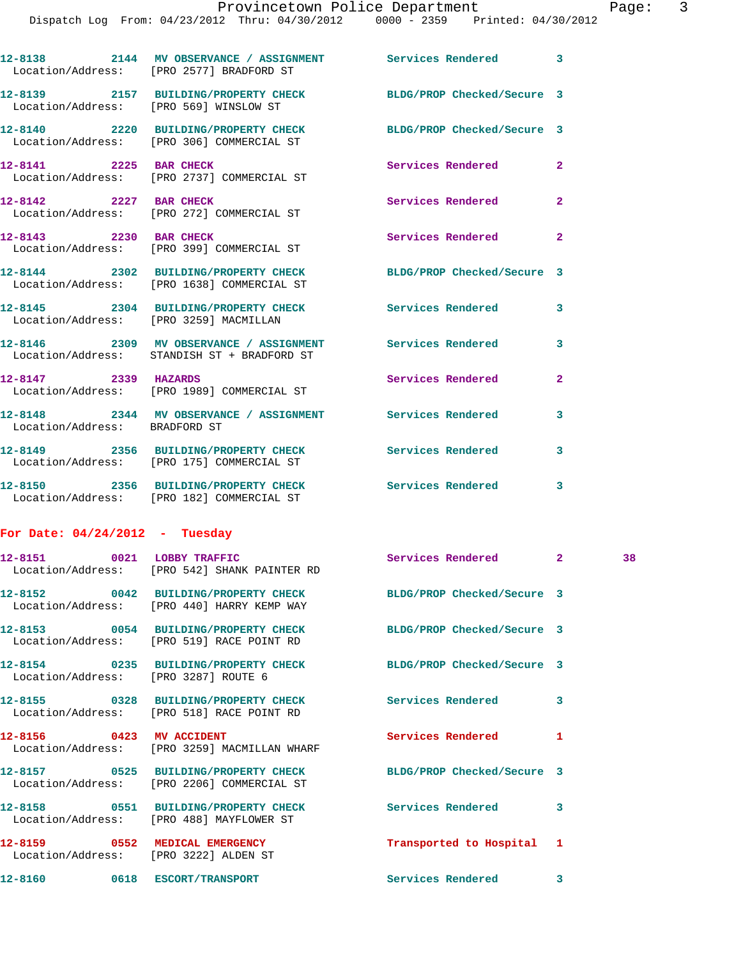Dispatch Log From: 04/23/2012 Thru: 04/30/2012 0000 - 2359 Printed: 04/30/2012

| 12-8138<br>2144<br>Location/Address: | MV OBSERVANCE / ASSIGNMENT<br>[PRO 2577] BRADFORD ST                     | Services Rendered          |  |
|--------------------------------------|--------------------------------------------------------------------------|----------------------------|--|
| 12-8139<br>2157                      | <b>BUILDING/PROPERTY CHECK</b><br>Location/Address: [PRO 569] WINSLOW ST | BLDG/PROP Checked/Secure 3 |  |
| 12-8140<br>2220<br>Location/Address: | <b>BUILDING/PROPERTY CHECK</b><br>[PRO 306] COMMERCIAL ST                | BLDG/PROP Checked/Secure 3 |  |
| 12-8141<br>2225<br>Location/Address: | <b>BAR CHECK</b><br>[PRO 2737] COMMERCIAL ST                             | Services Rendered          |  |

**12-8142** 2227 BAR CHECK Services Rendered 2 Location/Address: [PRO 272] COMMERCIAL ST

**12-8143 2230 BAR CHECK Services Rendered 2**  Location/Address: [PRO 399] COMMERCIAL ST

**12-8144 2302 BUILDING/PROPERTY CHECK BLDG/PROP Checked/Secure 3**  Location/Address: [PRO 1638] COMMERCIAL ST

**12-8145 2304 BUILDING/PROPERTY CHECK Services Rendered 3**  Location/Address: [PRO 3259] MACMILLAN

**12-8146 2309 MV OBSERVANCE / ASSIGNMENT Services Rendered 3**  Location/Address: STANDISH ST + BRADFORD ST

**12-8147 2339 HAZARDS Services Rendered 2**  Location/Address: [PRO 1989] COMMERCIAL ST

**12-8148 2344 MV OBSERVANCE / ASSIGNMENT Services Rendered 3**  Location/Address: BRADFORD ST

**12-8149 2356 BUILDING/PROPERTY CHECK Services Rendered 3**  Location/Address: [PRO 175] COMMERCIAL ST

**12-8150 2356 BUILDING/PROPERTY CHECK Services Rendered 3**  Location/Address: [PRO 182] COMMERCIAL ST

**For Date: 04/24/2012 - Tuesday**

| 12-8151 0021 LOBBY TRAFFIC               | Location/Address: [PRO 542] SHANK PAINTER RD                                                                  | Services Rendered 2       |                         | 38 |
|------------------------------------------|---------------------------------------------------------------------------------------------------------------|---------------------------|-------------------------|----|
|                                          | 12-8152 0042 BUILDING/PROPERTY CHECK BLDG/PROP Checked/Secure 3<br>Location/Address: [PRO 440] HARRY KEMP WAY |                           |                         |    |
|                                          | 12-8153 0054 BUILDING/PROPERTY CHECK BLDG/PROP Checked/Secure 3<br>Location/Address: [PRO 519] RACE POINT RD  |                           |                         |    |
| Location/Address: [PRO 3287] ROUTE 6     | 12-8154 0235 BUILDING/PROPERTY CHECK BLDG/PROP Checked/Secure 3                                               |                           |                         |    |
|                                          | 12-8155 0328 BUILDING/PROPERTY CHECK Services Rendered<br>Location/Address: [PRO 518] RACE POINT RD           |                           | $\overline{\mathbf{3}}$ |    |
| 12-8156 0423 MV ACCIDENT                 | Location/Address: [PRO 3259] MACMILLAN WHARF                                                                  | Services Rendered         | 1                       |    |
|                                          | 12-8157 0525 BUILDING/PROPERTY CHECK BLDG/PROP Checked/Secure 3<br>Location/Address: [PRO 2206] COMMERCIAL ST |                           |                         |    |
| Location/Address: [PRO 488] MAYFLOWER ST |                                                                                                               |                           | $\overline{\mathbf{3}}$ |    |
|                                          |                                                                                                               |                           |                         |    |
| Location/Address: [PRO 3222] ALDEN ST    | 12-8159 0552 MEDICAL EMERGENCY                                                                                | Transported to Hospital 1 |                         |    |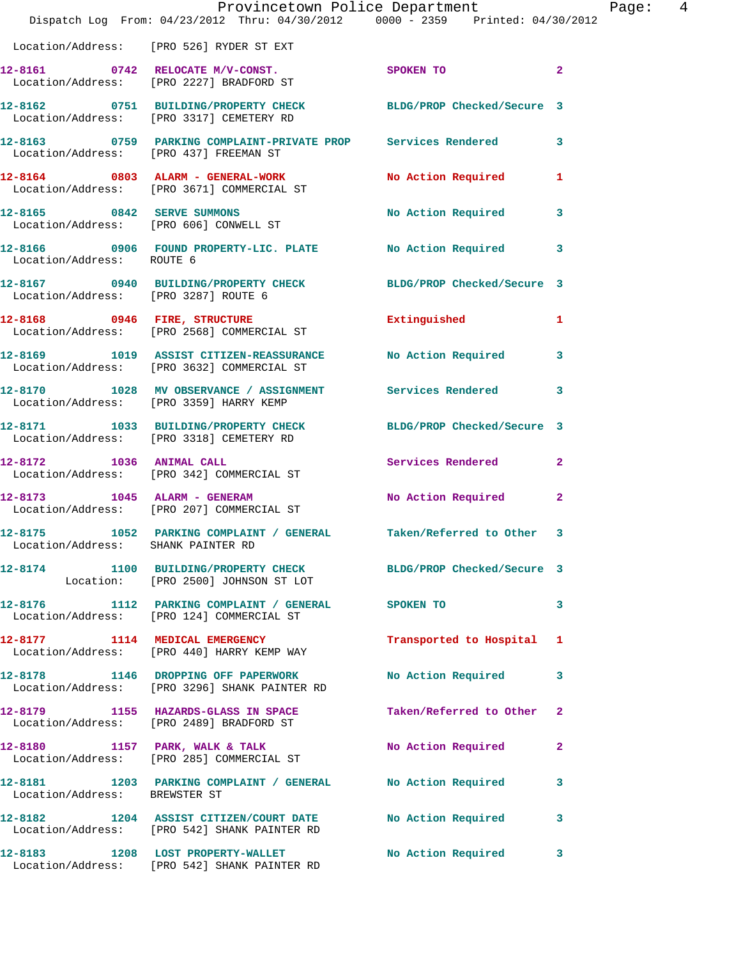|                                        | Dispatch Log From: 04/23/2012 Thru: 04/30/2012 0000 - 2359 Printed: 04/30/2012                              | Provincetown Police Department | Page: 4        |
|----------------------------------------|-------------------------------------------------------------------------------------------------------------|--------------------------------|----------------|
|                                        | Location/Address: [PRO 526] RYDER ST EXT                                                                    |                                |                |
|                                        | 12-8161 0742 RELOCATE M/V-CONST.<br>Location/Address: [PRO 2227] BRADFORD ST                                | SPOKEN TO                      | $\overline{2}$ |
|                                        | 12-8162 0751 BUILDING/PROPERTY CHECK BLDG/PROP Checked/Secure 3<br>Location/Address: [PRO 3317] CEMETERY RD |                                |                |
| Location/Address: [PRO 437] FREEMAN ST | 12-8163 0759 PARKING COMPLAINT-PRIVATE PROP Services Rendered 3                                             |                                |                |
|                                        | 12-8164 0803 ALARM - GENERAL-WORK<br>Location/Address: [PRO 3671] COMMERCIAL ST                             | No Action Required             | 1              |
|                                        | 12-8165 0842 SERVE SUMMONS<br>Location/Address: [PRO 606] CONWELL ST                                        | No Action Required             | $\mathbf{3}$   |
| Location/Address: ROUTE 6              | 12-8166 0906 FOUND PROPERTY-LIC. PLATE No Action Required                                                   |                                | $\mathbf{3}$   |
| Location/Address: [PRO 3287] ROUTE 6   | 12-8167 0940 BUILDING/PROPERTY CHECK BLDG/PROP Checked/Secure 3                                             |                                |                |
|                                        | 12-8168 0946 FIRE, STRUCTURE<br>Location/Address: [PRO 2568] COMMERCIAL ST                                  | Extinguished                   | 1              |
|                                        | 12-8169 1019 ASSIST CITIZEN-REASSURANCE<br>Location/Address: [PRO 3632] COMMERCIAL ST                       | No Action Required             | 3              |
|                                        | 12-8170 1028 MV OBSERVANCE / ASSIGNMENT Services Rendered<br>Location/Address: [PRO 3359] HARRY KEMP        |                                | 3              |
|                                        | 12-8171 1033 BUILDING/PROPERTY CHECK BLDG/PROP Checked/Secure 3<br>Location/Address: [PRO 3318] CEMETERY RD |                                |                |
|                                        | 12-8172 1036 ANIMAL CALL<br>Location/Address: [PRO 342] COMMERCIAL ST                                       | Services Rendered              | $\mathbf{2}$   |
|                                        | 12-8173 1045 ALARM - GENERAM<br>Location/Address: [PRO 207] COMMERCIAL ST                                   | No Action Required             | $\mathbf{2}$   |
| Location/Address: SHANK PAINTER RD     | 12-8175 1052 PARKING COMPLAINT / GENERAL Taken/Referred to Other 3                                          |                                |                |
|                                        | 12-8174 1100 BUILDING/PROPERTY CHECK BLDG/PROP Checked/Secure 3<br>Location: [PRO 2500] JOHNSON ST LOT      |                                |                |
|                                        | 12-8176 1112 PARKING COMPLAINT / GENERAL SPOKEN TO<br>Location/Address: [PRO 124] COMMERCIAL ST             |                                | 3              |
|                                        | 12-8177 1114 MEDICAL EMERGENCY<br>Location/Address: [PRO 440] HARRY KEMP WAY                                | Transported to Hospital 1      |                |
|                                        | 12-8178 1146 DROPPING OFF PAPERWORK<br>Location/Address: [PRO 3296] SHANK PAINTER RD                        | No Action Required             | 3              |
|                                        | 12-8179 1155 HAZARDS-GLASS IN SPACE<br>Location/Address: [PRO 2489] BRADFORD ST                             | Taken/Referred to Other        | $\mathbf{2}$   |
|                                        | 12-8180 1157 PARK, WALK & TALK<br>Location/Address: [PRO 285] COMMERCIAL ST                                 | No Action Required             | $\mathbf{2}$   |
| Location/Address: BREWSTER ST          | 12-8181 1203 PARKING COMPLAINT / GENERAL No Action Required                                                 |                                | 3              |
|                                        | 12-8182 1204 ASSIST CITIZEN/COURT DATE No Action Required<br>Location/Address: [PRO 542] SHANK PAINTER RD   |                                | 3              |
|                                        | 12-8183 1208 LOST PROPERTY-WALLET<br>Location/Address: [PRO 542] SHANK PAINTER RD                           | No Action Required             | 3              |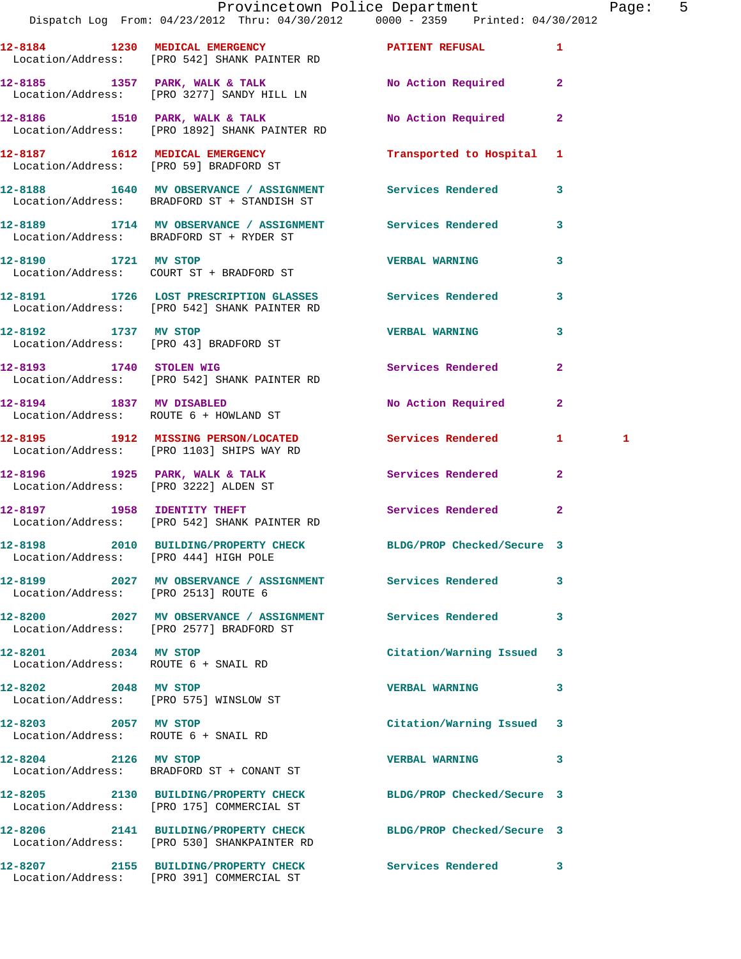|                                                                | Dispatch Log From: 04/23/2012 Thru: 04/30/2012   0000 - 2359   Printed: 04/30/2012                           | Provincetown Police Department Fage: 5 |              |              |  |
|----------------------------------------------------------------|--------------------------------------------------------------------------------------------------------------|----------------------------------------|--------------|--------------|--|
|                                                                | 12-8184 1230 MEDICAL EMERGENCY 1 PATIENT REFUSAL 1<br>Location/Address: [PRO 542] SHANK PAINTER RD           |                                        |              |              |  |
|                                                                | 12-8185 1357 PARK, WALK & TALK 1988 No Action Required 2<br>Location/Address: [PRO 3277] SANDY HILL LN       |                                        |              |              |  |
|                                                                | 12-8186 1510 PARK, WALK & TALK<br>Location/Address: [PRO 1892] SHANK PAINTER RD                              | No Action Required                     | $\mathbf{2}$ |              |  |
|                                                                | 12-8187   1612   MEDICAL EMERGENCY   Transported to Hospital 1   Location/Address: [PRO 59] BRADFORD ST      |                                        |              |              |  |
|                                                                | 12-8188 1640 MV OBSERVANCE / ASSIGNMENT Services Rendered<br>Location/Address: BRADFORD ST + STANDISH ST     |                                        | $\mathbf{3}$ |              |  |
|                                                                | 12-8189 1714 MV OBSERVANCE / ASSIGNMENT Services Rendered<br>Location/Address: BRADFORD ST + RYDER ST        |                                        | 3            |              |  |
| 12-8190 1721 MV STOP                                           | Location/Address: COURT ST + BRADFORD ST                                                                     | <b>VERBAL WARNING</b>                  | 3            |              |  |
|                                                                | 12-8191 1726 LOST PRESCRIPTION GLASSES Services Rendered<br>Location/Address: [PRO 542] SHANK PAINTER RD     |                                        | 3            |              |  |
| 12-8192 1737 MV STOP                                           | 1737 MV STOP<br>Location/Address: [PRO 43] BRADFORD ST                                                       | VERBAL WARNING 3                       |              |              |  |
|                                                                | 12-8193 1740 STOLEN WIG<br>Location/Address: [PRO 542] SHANK PAINTER RD                                      | <b>Services Rendered</b>               | $\mathbf{2}$ |              |  |
|                                                                | 12-8194 1837 MV DISABLED<br>Location/Address: ROUTE 6 + HOWLAND ST                                           | No Action Required                     | $\mathbf{2}$ |              |  |
|                                                                | 12-8195 1912 MISSING PERSON/LOCATED Services Rendered 1<br>Location/Address: [PRO 1103] SHIPS WAY RD         |                                        |              | $\mathbf{1}$ |  |
|                                                                | 12-8196 1925 PARK, WALK & TALK 1988 Services Rendered<br>Location/Address: [PRO 3222] ALDEN ST               |                                        | $\mathbf{2}$ |              |  |
|                                                                | 12-8197             1958   IDENTITY THEFT<br>Location/Address:     [PRO 542] SHANK PAINTER RD                | Services Rendered                      | $\mathbf{2}$ |              |  |
| Location/Address: [PRO 444] HIGH POLE                          | 12-8198 2010 BUILDING/PROPERTY CHECK BLDG/PROP Checked/Secure 3                                              |                                        |              |              |  |
| Location/Address: [PRO 2513] ROUTE 6                           | 12-8199 2027 MV OBSERVANCE / ASSIGNMENT Services Rendered                                                    |                                        | 3            |              |  |
|                                                                | 12-8200 2027 MV OBSERVANCE / ASSIGNMENT Services Rendered<br>Location/Address: [PRO 2577] BRADFORD ST        |                                        | 3            |              |  |
| 12-8201 2034 MV STOP<br>Location/Address: ROUTE 6 + SNAIL RD   |                                                                                                              | Citation/Warning Issued 3              |              |              |  |
| 12-8202 2048 MV STOP<br>Location/Address: [PRO 575] WINSLOW ST |                                                                                                              | <b>VERBAL WARNING</b>                  | 3            |              |  |
| 12-8203 2057 MV STOP<br>Location/Address: ROUTE 6 + SNAIL RD   |                                                                                                              | Citation/Warning Issued 3              |              |              |  |
| 12-8204 2126 MV STOP                                           | Location/Address: BRADFORD ST + CONANT ST                                                                    | <b>VERBAL WARNING</b>                  | 3            |              |  |
|                                                                | 12-8205 2130 BUILDING/PROPERTY CHECK BLDG/PROP Checked/Secure 3<br>Location/Address: [PRO 175] COMMERCIAL ST |                                        |              |              |  |
|                                                                | 12-8206 2141 BUILDING/PROPERTY CHECK<br>Location/Address: [PRO 530] SHANKPAINTER RD                          | BLDG/PROP Checked/Secure 3             |              |              |  |
|                                                                |                                                                                                              | Services Rendered 3                    |              |              |  |

Location/Address: [PRO 391] COMMERCIAL ST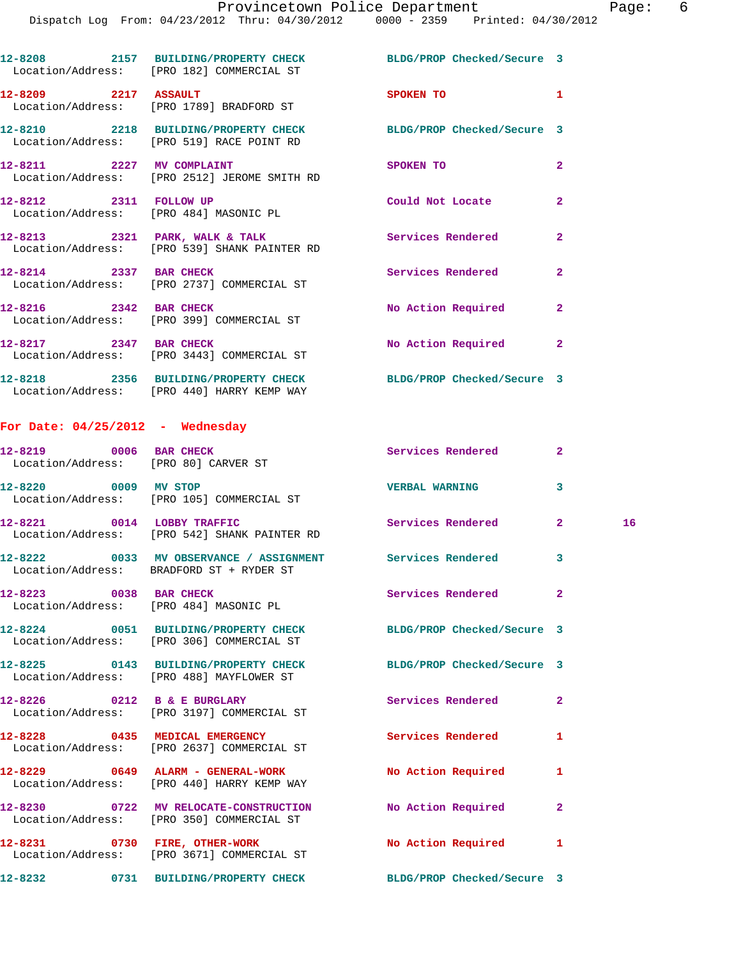|                                                                  | 12-8208 2157 BUILDING/PROPERTY CHECK BLDG/PROP Checked/Secure 3<br>Location/Address: [PRO 182] COMMERCIAL ST |                            |                |
|------------------------------------------------------------------|--------------------------------------------------------------------------------------------------------------|----------------------------|----------------|
| 12-8209 2217 ASSAULT                                             | Location/Address: [PRO 1789] BRADFORD ST                                                                     | SPOKEN TO                  | $\mathbf{1}$   |
|                                                                  | 12-8210 2218 BUILDING/PROPERTY CHECK<br>Location/Address: [PRO 519] RACE POINT RD                            | BLDG/PROP Checked/Secure 3 |                |
|                                                                  | 12-8211 2227 MV COMPLAINT<br>Location/Address: [PRO 2512] JEROME SMITH RD                                    | SPOKEN TO                  | $\overline{2}$ |
| 12-8212 2311 FOLLOW UP<br>Location/Address: [PRO 484] MASONIC PL |                                                                                                              | Could Not Locate           | $\overline{2}$ |
|                                                                  | $12-8213$ 2321 PARK, WALK & TALK<br>Location/Address: [PRO 539] SHANK PAINTER RD                             | Services Rendered          | $\overline{2}$ |
| 12-8214 2337 BAR CHECK                                           | Location/Address: [PRO 2737] COMMERCIAL ST                                                                   | Services Rendered          | $\overline{2}$ |
| 12-8216 2342 BAR CHECK                                           | Location/Address: [PRO 399] COMMERCIAL ST                                                                    | No Action Required         | $\overline{2}$ |
|                                                                  | 12-8217 2347 BAR CHECK<br>Location/Address: [PRO 3443] COMMERCIAL ST                                         | No Action Required         | $\mathbf{2}$   |

**12-8218 2356 BUILDING/PROPERTY CHECK BLDG/PROP Checked/Secure 3**  Location/Address: [PRO 440] HARRY KEMP WAY

## **For Date: 04/25/2012 - Wednesday**

| 12-8219 0006 BAR CHECK     | Location/Address: [PRO 80] CARVER ST                                                                  | Services Rendered          | $\overline{2}$          |    |
|----------------------------|-------------------------------------------------------------------------------------------------------|----------------------------|-------------------------|----|
| 12-8220 0009 MV STOP       | Location/Address: [PRO 105] COMMERCIAL ST                                                             | <b>VERBAL WARNING</b>      | $\overline{\mathbf{3}}$ |    |
| 12-8221 0014 LOBBY TRAFFIC | Location/Address: [PRO 542] SHANK PAINTER RD                                                          | <b>Services Rendered</b>   | $\overline{2}$          | 16 |
|                            | 12-8222 0033 MV OBSERVANCE / ASSIGNMENT Services Rendered<br>Location/Address: BRADFORD ST + RYDER ST |                            | $\overline{\mathbf{3}}$ |    |
| 12-8223 0038 BAR CHECK     | Location/Address: [PRO 484] MASONIC PL                                                                | Services Rendered          | $\overline{2}$          |    |
|                            | 12-8224 0051 BUILDING/PROPERTY CHECK<br>Location/Address: [PRO 306] COMMERCIAL ST                     | BLDG/PROP Checked/Secure 3 |                         |    |
|                            | 12-8225 0143 BUILDING/PROPERTY CHECK<br>Location/Address: [PRO 488] MAYFLOWER ST                      | BLDG/PROP Checked/Secure 3 |                         |    |
|                            | $12-8226$ 0212 B & E BURGLARY<br>Location/Address: [PRO 3197] COMMERCIAL ST                           | Services Rendered          | $\overline{2}$          |    |
|                            | 12-8228 0435 MEDICAL EMERGENCY<br>Location/Address: [PRO 2637] COMMERCIAL ST                          | <b>Services Rendered</b>   | $\mathbf{1}$            |    |
|                            | 12-8229 0649 ALARM - GENERAL-WORK<br>Location/Address: [PRO 440] HARRY KEMP WAY                       | <b>No Action Required</b>  | 1                       |    |
|                            | 12-8230 0722 MV RELOCATE-CONSTRUCTION<br>Location/Address: [PRO 350] COMMERCIAL ST                    | No Action Required         | $\overline{2}$          |    |
|                            | 12-8231 0730 FIRE, OTHER-WORK<br>Location/Address: [PRO 3671] COMMERCIAL ST                           | <b>No Action Required</b>  | 1                       |    |
|                            | 12-8232 0731 BUILDING/PROPERTY CHECK BLDG/PROP Checked/Secure 3                                       |                            |                         |    |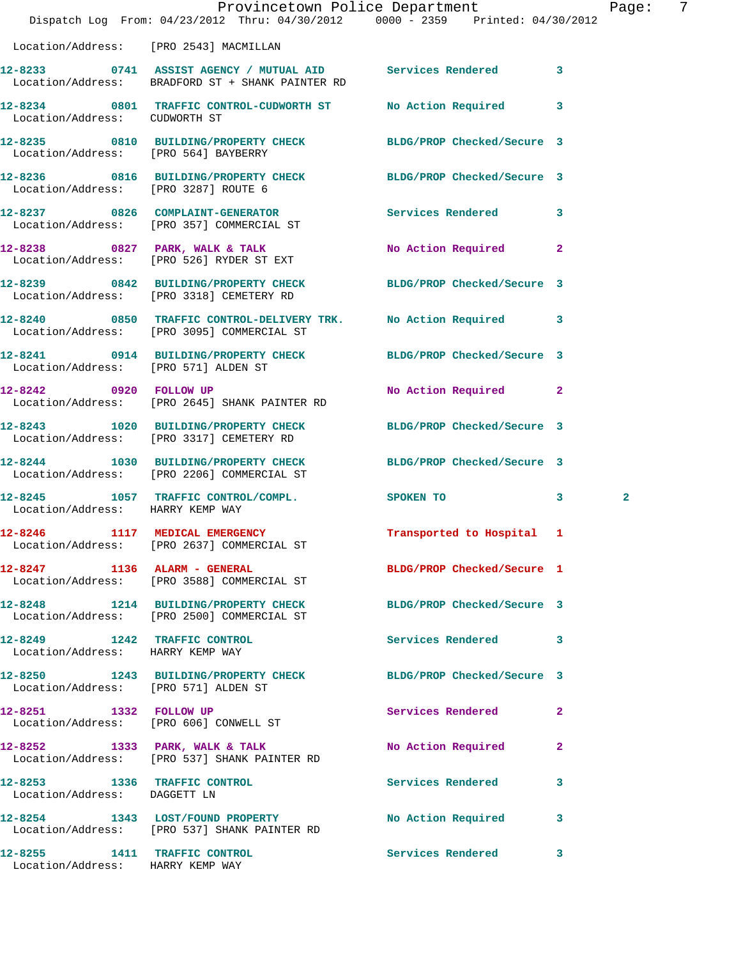|                                                                  | Dispatch Log From: 04/23/2012 Thru: 04/30/2012 0000 - 2359 Printed: 04/30/2012                                  | Provincetown Police Department     | Page: 7           |
|------------------------------------------------------------------|-----------------------------------------------------------------------------------------------------------------|------------------------------------|-------------------|
| Location/Address: [PRO 2543] MACMILLAN                           |                                                                                                                 |                                    |                   |
|                                                                  | 12-8233 0741 ASSIST AGENCY / MUTUAL AID Services Rendered 3<br>Location/Address: BRADFORD ST + SHANK PAINTER RD |                                    |                   |
| Location/Address: CUDWORTH ST                                    | 12-8234 0801 TRAFFIC CONTROL-CUDWORTH ST No Action Required 3                                                   |                                    |                   |
| Location/Address: [PRO 564] BAYBERRY                             | 12-8235 0810 BUILDING/PROPERTY CHECK BLDG/PROP Checked/Secure 3                                                 |                                    |                   |
| Location/Address: [PRO 3287] ROUTE 6                             | 12-8236 0816 BUILDING/PROPERTY CHECK BLDG/PROP Checked/Secure 3                                                 |                                    |                   |
|                                                                  | 12-8237 0826 COMPLAINT-GENERATOR Services Rendered 3<br>Location/Address: [PRO 357] COMMERCIAL ST               |                                    |                   |
|                                                                  | 12-8238 0827 PARK, WALK & TALK<br>Location/Address: [PRO 526] RYDER ST EXT                                      | No Action Required<br>$\mathbf{2}$ |                   |
|                                                                  | 12-8239 0842 BUILDING/PROPERTY CHECK BLDG/PROP Checked/Secure 3<br>Location/Address: [PRO 3318] CEMETERY RD     |                                    |                   |
|                                                                  | 12-8240 0850 TRAFFIC CONTROL-DELIVERY TRK. No Action Required 3<br>Location/Address: [PRO 3095] COMMERCIAL ST   |                                    |                   |
| Location/Address: [PRO 571] ALDEN ST                             | 12-8241 0914 BUILDING/PROPERTY CHECK BLDG/PROP Checked/Secure 3                                                 |                                    |                   |
|                                                                  | 12-8242 0920 FOLLOW UP<br>Location/Address: [PRO 2645] SHANK PAINTER RD                                         | No Action Required 2               |                   |
|                                                                  | 12-8243 1020 BUILDING/PROPERTY CHECK<br>Location/Address: [PRO 3317] CEMETERY RD                                | BLDG/PROP Checked/Secure 3         |                   |
|                                                                  | 12-8244 1030 BUILDING/PROPERTY CHECK BLDG/PROP Checked/Secure 3<br>Location/Address: [PRO 2206] COMMERCIAL ST   |                                    |                   |
| Location/Address: HARRY KEMP WAY                                 | 12-8245 1057 TRAFFIC CONTROL/COMPL.                                                                             | SPOKEN TO                          | $\mathbf{2}$<br>3 |
| 12-8246                                                          | 1117 MEDICAL EMERGENCY<br>Location/Address: [PRO 2637] COMMERCIAL ST                                            | Transported to Hospital 1          |                   |
|                                                                  | 12-8247 1136 ALARM - GENERAL<br>Location/Address: [PRO 3588] COMMERCIAL ST                                      | BLDG/PROP Checked/Secure 1         |                   |
|                                                                  | 12-8248 1214 BUILDING/PROPERTY CHECK<br>Location/Address: [PRO 2500] COMMERCIAL ST                              | BLDG/PROP Checked/Secure 3         |                   |
| 12-8249 1242 TRAFFIC CONTROL<br>Location/Address: HARRY KEMP WAY |                                                                                                                 | Services Rendered<br>3             |                   |
| Location/Address: [PRO 571] ALDEN ST                             | 12-8250 1243 BUILDING/PROPERTY CHECK BLDG/PROP Checked/Secure 3                                                 |                                    |                   |
| 12-8251 1332 FOLLOW UP                                           | Location/Address: [PRO 606] CONWELL ST                                                                          | Services Rendered<br>2             |                   |
|                                                                  | 12-8252 1333 PARK, WALK & TALK<br>Location/Address: [PRO 537] SHANK PAINTER RD                                  | No Action Required<br>2            |                   |
| 12-8253 1336 TRAFFIC CONTROL<br>Location/Address: DAGGETT LN     |                                                                                                                 | <b>Services Rendered</b><br>3      |                   |
|                                                                  | 12-8254 1343 LOST/FOUND PROPERTY<br>Location/Address: [PRO 537] SHANK PAINTER RD                                | No Action Required 3               |                   |
| 12-8255 1411 TRAFFIC CONTROL<br>Location/Address: HARRY KEMP WAY |                                                                                                                 | Services Rendered                  | 3                 |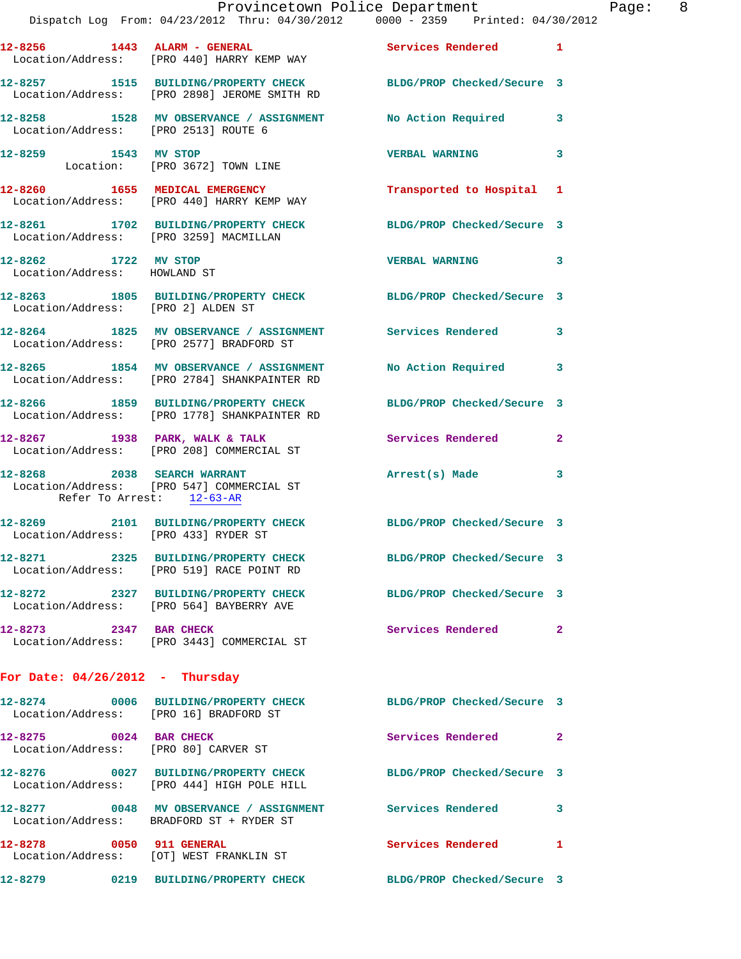|                                                                | Dispatch Log From: 04/23/2012 Thru: 04/30/2012 0000 - 2359 Printed: 04/30/2012                                  | Provincetown Police Department Fage: 8 |              |  |
|----------------------------------------------------------------|-----------------------------------------------------------------------------------------------------------------|----------------------------------------|--------------|--|
|                                                                | 12-8256 1443 ALARM - GENERAL Services Rendered 1<br>Location/Address: [PRO 440] HARRY KEMP WAY                  |                                        |              |  |
|                                                                | 12-8257 1515 BUILDING/PROPERTY CHECK BLDG/PROP Checked/Secure 3<br>Location/Address: [PRO 2898] JEROME SMITH RD |                                        |              |  |
|                                                                | 12-8258 1528 MV OBSERVANCE / ASSIGNMENT No Action Required 3<br>Location/Address: [PRO 2513] ROUTE 6            |                                        |              |  |
|                                                                | 12-8259 1543 MV STOP<br>Location: [PRO 3672] TOWN LINE                                                          | VERBAL WARNING 3                       |              |  |
|                                                                | 12-8260 1655 MEDICAL EMERGENCY<br>Location/Address: [PRO 440] HARRY KEMP WAY                                    | Transported to Hospital 1              |              |  |
|                                                                | 12-8261 1702 BUILDING/PROPERTY CHECK BLDG/PROP Checked/Secure 3<br>Location/Address: [PRO 3259] MACMILLAN       |                                        |              |  |
| 12-8262 1722 MV STOP<br>Location/Address: HOWLAND ST           |                                                                                                                 | VERBAL WARNING 3                       |              |  |
| Location/Address: [PRO 2] ALDEN ST                             | 12-8263 1805 BUILDING/PROPERTY CHECK BLDG/PROP Checked/Secure 3                                                 |                                        |              |  |
|                                                                | 12-8264 1825 MV OBSERVANCE / ASSIGNMENT Services Rendered 3<br>Location/Address: [PRO 2577] BRADFORD ST         |                                        |              |  |
|                                                                | 12-8265 1854 MV OBSERVANCE / ASSIGNMENT No Action Required 3<br>Location/Address: [PRO 2784] SHANKPAINTER RD    |                                        |              |  |
|                                                                | 12-8266 1859 BUILDING/PROPERTY CHECK BLDG/PROP Checked/Secure 3<br>Location/Address: [PRO 1778] SHANKPAINTER RD |                                        |              |  |
|                                                                | 12-8267 1938 PARK, WALK & TALK 1999 Services Rendered<br>Location/Address: [PRO 208] COMMERCIAL ST              |                                        | $\mathbf{2}$ |  |
| 12-8268 2038 SEARCH WARRANT<br>Refer To Arrest: 12-63-AR       | Location/Address: [PRO 547] COMMERCIAL ST                                                                       | Arrest(s) Made 3                       |              |  |
|                                                                | 12-8269 2101 BUILDING/PROPERTY CHECK BLDG/PROP Checked/Secure 3<br>Location/Address: [PRO 433] RYDER ST         |                                        |              |  |
|                                                                | 12-8271 2325 BUILDING/PROPERTY CHECK BLDG/PROP Checked/Secure 3<br>Location/Address: [PRO 519] RACE POINT RD    |                                        |              |  |
|                                                                | 12-8272 2327 BUILDING/PROPERTY CHECK BLDG/PROP Checked/Secure 3<br>Location/Address: [PRO 564] BAYBERRY AVE     |                                        |              |  |
| 12-8273 2347 BAR CHECK                                         | Location/Address: [PRO 3443] COMMERCIAL ST                                                                      | Services Rendered 2                    |              |  |
| For Date: $04/26/2012$ - Thursday                              |                                                                                                                 |                                        |              |  |
|                                                                | 12-8274 0006 BUILDING/PROPERTY CHECK BLDG/PROP Checked/Secure 3<br>Location/Address: [PRO 16] BRADFORD ST       |                                        |              |  |
| 12-8275 0024 BAR CHECK<br>Location/Address: [PRO 80] CARVER ST |                                                                                                                 | Services Rendered                      | $\mathbf{2}$ |  |
|                                                                | 12-8276 0027 BUILDING/PROPERTY CHECK BLDG/PROP Checked/Secure 3<br>Location/Address: [PRO 444] HIGH POLE HILL   |                                        |              |  |
|                                                                | 12-8277 0048 MV OBSERVANCE / ASSIGNMENT Services Rendered<br>Location/Address: BRADFORD ST + RYDER ST           |                                        | 3            |  |
| 12-8278 0050 911 GENERAL                                       | Location/Address: [OT] WEST FRANKLIN ST                                                                         | Services Rendered                      | -1           |  |

**12-8279 0219 BUILDING/PROPERTY CHECK BLDG/PROP Checked/Secure 3**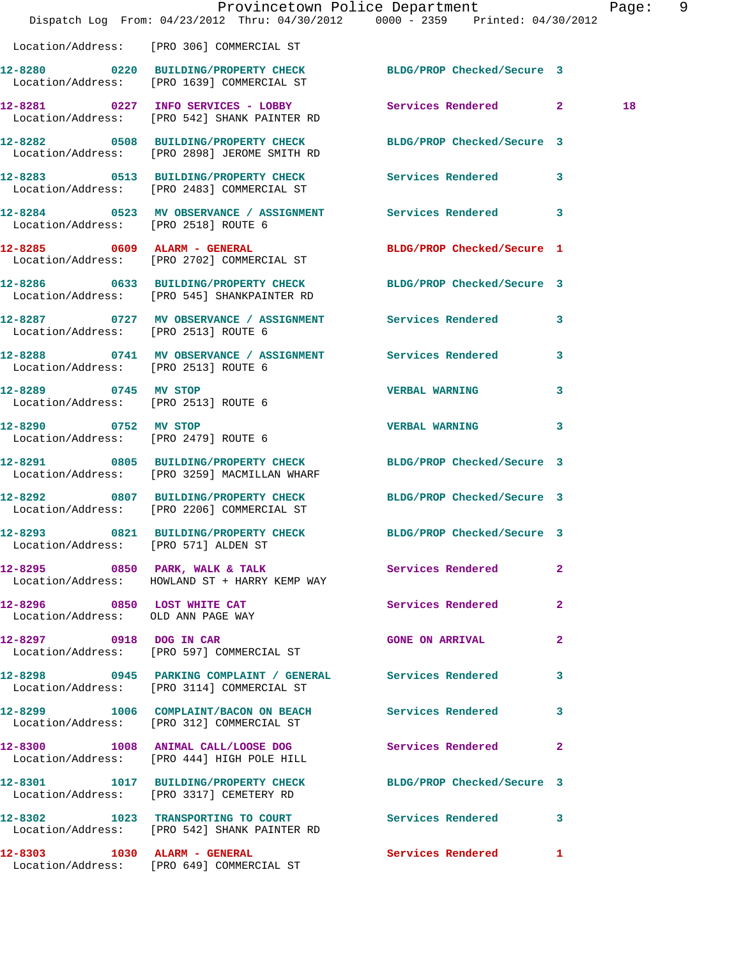|                                                                   | Dispatch Log From: 04/23/2012 Thru: 04/30/2012 0000 - 2359 Printed: 04/30/2012                                  | Provincetown Police Department |              | Page: 9 |  |
|-------------------------------------------------------------------|-----------------------------------------------------------------------------------------------------------------|--------------------------------|--------------|---------|--|
|                                                                   | Location/Address: [PRO 306] COMMERCIAL ST                                                                       |                                |              |         |  |
|                                                                   | 12-8280 0220 BUILDING/PROPERTY CHECK BLDG/PROP Checked/Secure 3<br>Location/Address: [PRO 1639] COMMERCIAL ST   |                                |              |         |  |
|                                                                   | 12-8281 0227 INFO SERVICES - LOBBY Services Rendered 2<br>Location/Address: [PRO 542] SHANK PAINTER RD          |                                |              | 18      |  |
|                                                                   | 12-8282 0508 BUILDING/PROPERTY CHECK BLDG/PROP Checked/Secure 3<br>Location/Address: [PRO 2898] JEROME SMITH RD |                                |              |         |  |
|                                                                   | 12-8283 0513 BUILDING/PROPERTY CHECK Services Rendered 3<br>Location/Address: [PRO 2483] COMMERCIAL ST          |                                |              |         |  |
| Location/Address: [PRO 2518] ROUTE 6                              | 12-8284 0523 MV OBSERVANCE / ASSIGNMENT Services Rendered 3                                                     |                                |              |         |  |
|                                                                   | 12-8285 0609 ALARM - GENERAL<br>Location/Address: [PRO 2702] COMMERCIAL ST                                      | BLDG/PROP Checked/Secure 1     |              |         |  |
|                                                                   | 12-8286 0633 BUILDING/PROPERTY CHECK BLDG/PROP Checked/Secure 3<br>Location/Address: [PRO 545] SHANKPAINTER RD  |                                |              |         |  |
| Location/Address: [PRO 2513] ROUTE 6                              | 12-8287 		 0727 MV OBSERVANCE / ASSIGNMENT Services Rendered 3                                                  |                                |              |         |  |
| Location/Address: [PRO 2513] ROUTE 6                              | 12-8288 0741 MV OBSERVANCE / ASSIGNMENT Services Rendered 3                                                     |                                |              |         |  |
| 12-8289 0745 MV STOP<br>Location/Address: [PRO 2513] ROUTE 6      |                                                                                                                 | <b>VERBAL WARNING</b>          | $\mathbf{3}$ |         |  |
| 12-8290 0752 MV STOP<br>Location/Address: [PRO 2479] ROUTE 6      |                                                                                                                 | <b>VERBAL WARNING</b>          | 3            |         |  |
|                                                                   | 12-8291 0805 BUILDING/PROPERTY CHECK BLDG/PROP Checked/Secure 3<br>Location/Address: [PRO 3259] MACMILLAN WHARF |                                |              |         |  |
|                                                                   | 12-8292 0807 BUILDING/PROPERTY CHECK<br>Location/Address: [PRO 2206] COMMERCIAL ST                              | BLDG/PROP Checked/Secure 3     |              |         |  |
| 12-8293<br>Location/Address: [PRO 571] ALDEN ST                   | 0821 BUILDING/PROPERTY CHECK BLDG/PROP Checked/Secure 3                                                         |                                |              |         |  |
|                                                                   | 12-8295 0850 PARK, WALK & TALK 3 Services Rendered<br>Location/Address: HOWLAND ST + HARRY KEMP WAY             |                                | $\mathbf{2}$ |         |  |
| 12-8296 0850 LOST WHITE CAT<br>Location/Address: OLD ANN PAGE WAY |                                                                                                                 | <b>Services Rendered</b> 2     |              |         |  |
|                                                                   | 12-8297 0918 DOG IN CAR<br>Location/Address: [PRO 597] COMMERCIAL ST                                            | <b>GONE ON ARRIVAL</b>         | $\mathbf{2}$ |         |  |
|                                                                   | 12-8298 0945 PARKING COMPLAINT / GENERAL Services Rendered 3<br>Location/Address: [PRO 3114] COMMERCIAL ST      |                                |              |         |  |
|                                                                   | 12-8299 1006 COMPLAINT/BACON ON BEACH Services Rendered 3<br>Location/Address: [PRO 312] COMMERCIAL ST          |                                |              |         |  |
|                                                                   | 12-8300 1008 ANIMAL CALL/LOOSE DOG Services Rendered 2<br>Location/Address: [PRO 444] HIGH POLE HILL            |                                |              |         |  |
|                                                                   | 12-8301 1017 BUILDING/PROPERTY CHECK BLDG/PROP Checked/Secure 3<br>Location/Address: [PRO 3317] CEMETERY RD     |                                |              |         |  |
|                                                                   | 12-8302 1023 TRANSPORTING TO COURT Services Rendered 3<br>Location/Address: [PRO 542] SHANK PAINTER RD          |                                |              |         |  |
|                                                                   | 12-8303 1030 ALARM - GENERAL<br>Location/Address: [PRO 649] COMMERCIAL ST                                       | Services Rendered              | 1            |         |  |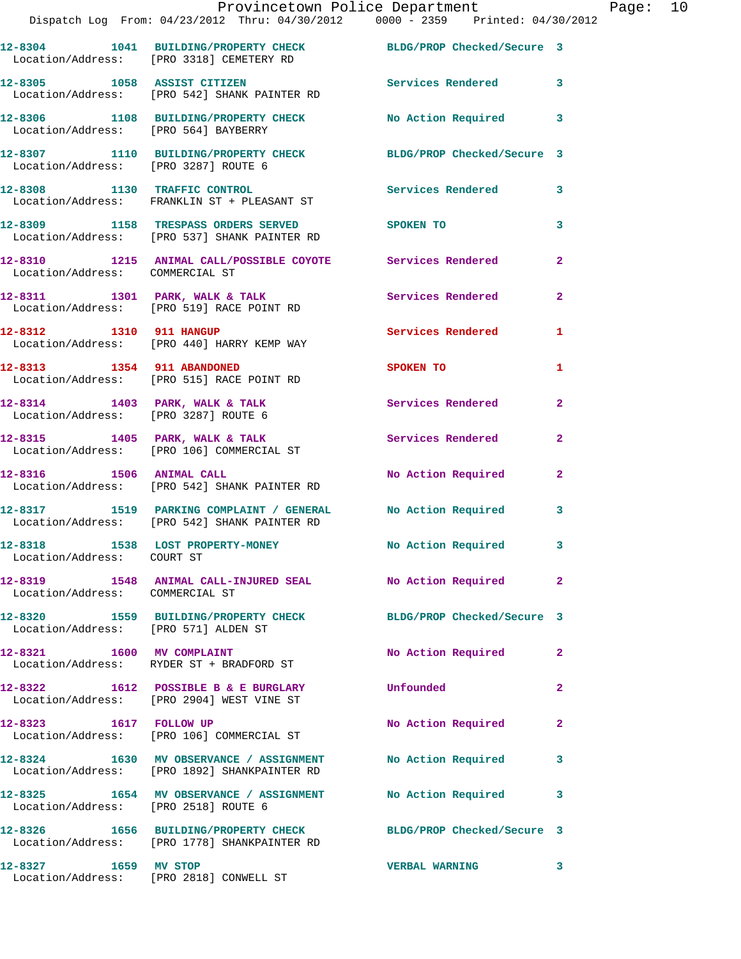|                                      | 12-8304 1041 BUILDING/PROPERTY CHECK<br>Location/Address: [PRO 3318] CEMETERY RD                                | BLDG/PROP Checked/Secure 3 |                         |
|--------------------------------------|-----------------------------------------------------------------------------------------------------------------|----------------------------|-------------------------|
|                                      | 12-8305 1058 ASSIST CITIZEN<br>Location/Address: [PRO 542] SHANK PAINTER RD                                     | <b>Services Rendered</b>   | $\overline{\mathbf{3}}$ |
| Location/Address: [PRO 564] BAYBERRY | 12-8306 1108 BUILDING/PROPERTY CHECK                                                                            | No Action Required 3       |                         |
| Location/Address: [PRO 3287] ROUTE 6 | 12-8307 1110 BUILDING/PROPERTY CHECK BLDG/PROP Checked/Secure 3                                                 |                            |                         |
|                                      | 12-8308 1130 TRAFFIC CONTROL<br>Location/Address: FRANKLIN ST + PLEASANT ST                                     | Services Rendered 3        |                         |
|                                      | 12-8309 1158 TRESPASS ORDERS SERVED SPOKEN TO<br>Location/Address: [PRO 537] SHANK PAINTER RD                   |                            | 3                       |
| Location/Address: COMMERCIAL ST      | 12-8310 1215 ANIMAL CALL/POSSIBLE COYOTE Services Rendered                                                      |                            | $\overline{2}$          |
|                                      | 12-8311 1301 PARK, WALK & TALK<br>Location/Address: [PRO 519] RACE POINT RD                                     | Services Rendered          | $\mathbf{2}$            |
| 12-8312 1310 911 HANGUP              | Location/Address: [PRO 440] HARRY KEMP WAY                                                                      | Services Rendered          | 1                       |
|                                      | 12-8313 1354 911 ABANDONED<br>Location/Address: [PRO 515] RACE POINT RD                                         | SPOKEN TO                  | $\mathbf{1}$            |
| Location/Address: [PRO 3287] ROUTE 6 | $12-8314$ 1403 PARK, WALK & TALK                                                                                | Services Rendered          | $\mathbf{2}$            |
|                                      | $12-8315$ 1405 PARK, WALK & TALK<br>Location/Address: [PRO 106] COMMERCIAL ST                                   | <b>Services Rendered</b>   | $\overline{2}$          |
| 12-8316 1506 ANIMAL CALL             | Location/Address: [PRO 542] SHANK PAINTER RD                                                                    | No Action Required         | $\mathbf{2}$            |
|                                      | 12-8317 1519 PARKING COMPLAINT / GENERAL No Action Required<br>Location/Address: [PRO 542] SHANK PAINTER RD     |                            | 3                       |
| Location/Address: COURT ST           | 12-8318 1538 LOST PROPERTY-MONEY                                                                                | No Action Required         | 3                       |
| Location/Address: COMMERCIAL ST      | 12-8319 1548 ANIMAL CALL-INJURED SEAL                                                                           | No Action Required 2       |                         |
| Location/Address: [PRO 571] ALDEN ST | 12-8320 1559 BUILDING/PROPERTY CHECK BLDG/PROP Checked/Secure 3                                                 |                            |                         |
|                                      | 12-8321 1600 MV COMPLAINT<br>Location/Address: RYDER ST + BRADFORD ST                                           | No Action Required         | $\mathbf{2}$            |
|                                      | 12-8322 1612 POSSIBLE B & E BURGLARY<br>Location/Address: [PRO 2904] WEST VINE ST                               | Unfounded                  | $\mathbf{2}$            |
| 12-8323 1617 FOLLOW UP               | Location/Address: [PRO 106] COMMERCIAL ST                                                                       | No Action Required         | $\mathbf{2}$            |
|                                      | 12-8324 1630 MV OBSERVANCE / ASSIGNMENT No Action Required<br>Location/Address: [PRO 1892] SHANKPAINTER RD      |                            | 3                       |
| Location/Address: [PRO 2518] ROUTE 6 | 12-8325 1654 MV OBSERVANCE / ASSIGNMENT No Action Required                                                      |                            | 3                       |
|                                      | 12-8326 1656 BUILDING/PROPERTY CHECK BLDG/PROP Checked/Secure 3<br>Location/Address: [PRO 1778] SHANKPAINTER RD |                            |                         |
| 12-8327 1659 MV STOP                 | Location/Address: [PRO 2818] CONWELL ST                                                                         | <b>VERBAL WARNING</b>      | 3                       |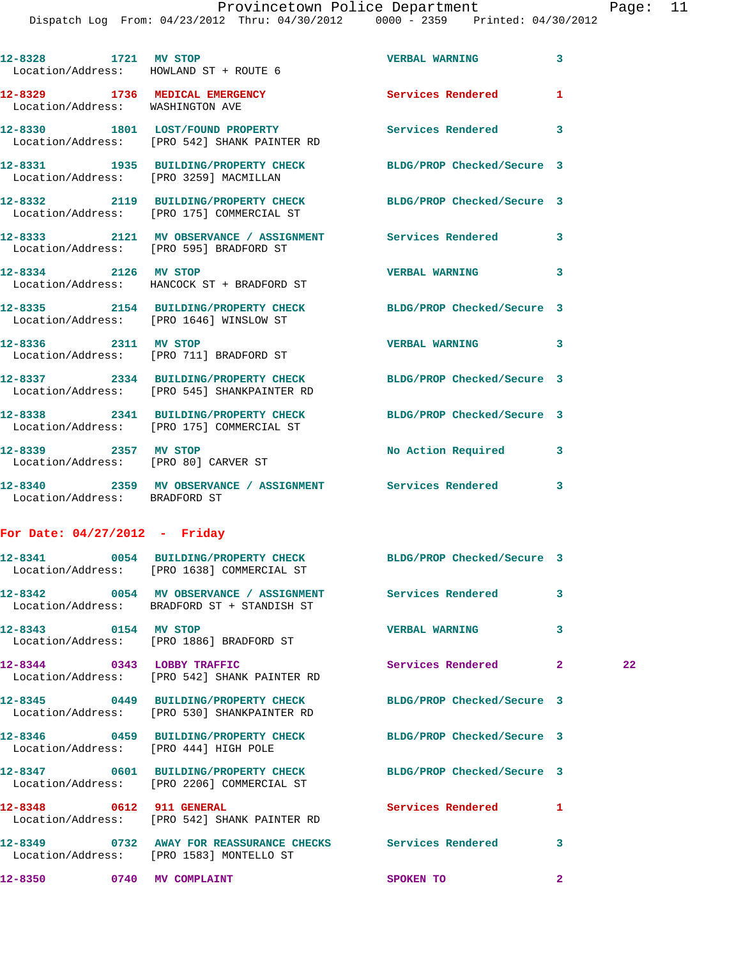Dispatch Log From: 04/23/2012 Thru: 04/30/2012 0000 - 2359 Printed: 04/30/2012

|                                 | 12-8328 1721 MV STOP<br>Location/Address: HOWLAND ST + ROUTE 6                                                | <b>VERBAL WARNING</b>      | $\mathbf{3}$ |    |
|---------------------------------|---------------------------------------------------------------------------------------------------------------|----------------------------|--------------|----|
|                                 | 12-8329 1736 MEDICAL EMERGENCY<br>Location/Address: WASHINGTON AVE                                            | Services Rendered          | $\mathbf{1}$ |    |
|                                 | 12-8330 1801 LOST/FOUND PROPERTY<br>Location/Address: [PRO 542] SHANK PAINTER RD                              | Services Rendered          | 3            |    |
|                                 | 12-8331 1935 BUILDING/PROPERTY CHECK<br>Location/Address: [PRO 3259] MACMILLAN                                | BLDG/PROP Checked/Secure 3 |              |    |
|                                 | 12-8332 2119 BUILDING/PROPERTY CHECK<br>Location/Address: [PRO 175] COMMERCIAL ST                             | BLDG/PROP Checked/Secure 3 |              |    |
|                                 | 12-8333 2121 MV OBSERVANCE / ASSIGNMENT Services Rendered 3                                                   |                            |              |    |
|                                 | Location/Address: [PRO 595] BRADFORD ST<br>12-8334 2126 MV STOP                                               | <b>VERBAL WARNING</b>      | 3            |    |
|                                 | Location/Address: HANCOCK ST + BRADFORD ST<br>12-8335 2154 BUILDING/PROPERTY CHECK BLDG/PROP Checked/Secure 3 |                            |              |    |
|                                 | Location/Address: [PRO 1646] WINSLOW ST<br>12-8336 2311 MV STOP                                               | <b>VERBAL WARNING</b>      | 3            |    |
|                                 | Location/Address: [PRO 711] BRADFORD ST<br>12-8337 2334 BUILDING/PROPERTY CHECK BLDG/PROP Checked/Secure 3    |                            |              |    |
|                                 | Location/Address: [PRO 545] SHANKPAINTER RD<br>12-8338 2341 BUILDING/PROPERTY CHECK                           | BLDG/PROP Checked/Secure 3 |              |    |
| 12-8339 2357 MV STOP            | Location/Address: [PRO 175] COMMERCIAL ST                                                                     | No Action Required 3       |              |    |
|                                 | Location/Address: [PRO 80] CARVER ST                                                                          |                            |              |    |
| Location/Address: BRADFORD ST   | 12-8340 2359 MV OBSERVANCE / ASSIGNMENT Services Rendered 3                                                   |                            |              |    |
| For Date: $04/27/2012$ - Friday |                                                                                                               |                            |              |    |
|                                 | 12-8341 0054 BUILDING/PROPERTY CHECK BLDG/PROP Checked/Secure 3<br>Location/Address: [PRO 1638] COMMERCIAL ST |                            |              |    |
|                                 | 12-8342 0054 MV OBSERVANCE / ASSIGNMENT Services Rendered<br>Location/Address: BRADFORD ST + STANDISH ST      |                            | 3            |    |
| 12-8343 0154 MV STOP            | Location/Address: [PRO 1886] BRADFORD ST                                                                      | <b>VERBAL WARNING</b>      | 3            |    |
|                                 | 12-8344 0343 LOBBY TRAFFIC<br>Location/Address: [PRO 542] SHANK PAINTER RD                                    | Services Rendered 2        |              | 22 |
|                                 | 12-8345 0449 BUILDING/PROPERTY CHECK<br>Location/Address: [PRO 530] SHANKPAINTER RD                           | BLDG/PROP Checked/Secure 3 |              |    |
|                                 | 12-8346 0459 BUILDING/PROPERTY CHECK<br>Location/Address: [PRO 444] HIGH POLE                                 | BLDG/PROP Checked/Secure 3 |              |    |
|                                 | 12-8347 0601 BUILDING/PROPERTY CHECK BLDG/PROP Checked/Secure 3<br>Location/Address: [PRO 2206] COMMERCIAL ST |                            |              |    |
| 12-8348 0612 911 GENERAL        | Location/Address: [PRO 542] SHANK PAINTER RD                                                                  | Services Rendered          | 1            |    |
|                                 | 12-8349 0732 AWAY FOR REASSURANCE CHECKS Services Rendered<br>Location/Address: [PRO 1583] MONTELLO ST        |                            | 3            |    |
| 12-8350 0740 MV COMPLAINT       |                                                                                                               | SPOKEN TO                  | $\mathbf{2}$ |    |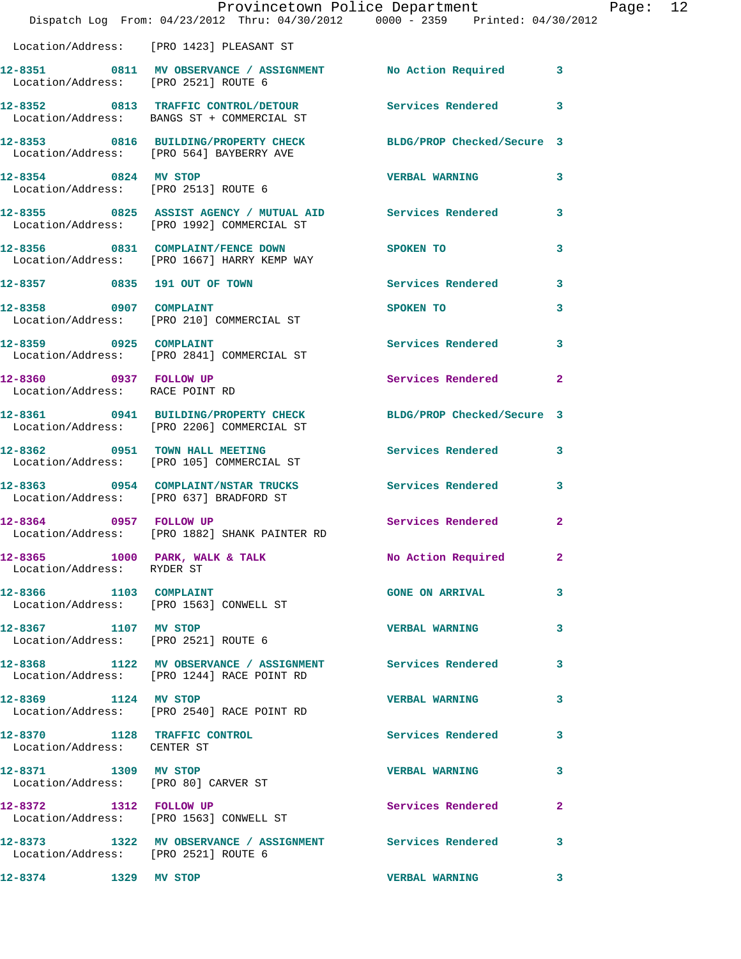|                                                           | Provincetown Police Department<br>Dispatch Log From: 04/23/2012 Thru: 04/30/2012 0000 - 2359 Printed: 04/30/2012 |                        |              | Page: 12 |  |
|-----------------------------------------------------------|------------------------------------------------------------------------------------------------------------------|------------------------|--------------|----------|--|
|                                                           | Location/Address: [PRO 1423] PLEASANT ST                                                                         |                        |              |          |  |
|                                                           | 12-8351 0811 MV OBSERVANCE / ASSIGNMENT No Action Required 3<br>Location/Address: [PRO 2521] ROUTE 6             |                        |              |          |  |
|                                                           | 12-8352 0813 TRAFFIC CONTROL/DETOUR Services Rendered<br>Location/Address: BANGS ST + COMMERCIAL ST              |                        | 3            |          |  |
|                                                           | 12-8353 0816 BUILDING/PROPERTY CHECK BLDG/PROP Checked/Secure 3<br>Location/Address: [PRO 564] BAYBERRY AVE      |                        |              |          |  |
|                                                           | 12-8354 0824 MV STOP<br>Location/Address: [PRO 2513] ROUTE 6                                                     | <b>VERBAL WARNING</b>  | 3            |          |  |
|                                                           | 12-8355 0825 ASSIST AGENCY / MUTUAL AID Services Rendered 3<br>Location/Address: [PRO 1992] COMMERCIAL ST        |                        |              |          |  |
|                                                           | 12-8356 0831 COMPLAINT/FENCE DOWN SPOKEN TO<br>Location/Address: [PRO 1667] HARRY KEMP WAY                       |                        | 3            |          |  |
|                                                           | 12-8357 0835 191 OUT OF TOWN Services Rendered 3                                                                 |                        |              |          |  |
|                                                           | 12-8358 0907 COMPLAINT<br>Location/Address: [PRO 210] COMMERCIAL ST                                              | <b>SPOKEN TO</b>       | 3            |          |  |
|                                                           | 12-8359 0925 COMPLAINT<br>Location/Address: [PRO 2841] COMMERCIAL ST                                             | Services Rendered 3    |              |          |  |
| 12-8360 0937 FOLLOW UP<br>Location/Address: RACE POINT RD |                                                                                                                  | Services Rendered      | $\mathbf{2}$ |          |  |
|                                                           | 12-8361 0941 BUILDING/PROPERTY CHECK BLDG/PROP Checked/Secure 3<br>Location/Address: [PRO 2206] COMMERCIAL ST    |                        |              |          |  |
|                                                           | 12-8362 0951 TOWN HALL MEETING Services Rendered<br>Location/Address: [PRO 105] COMMERCIAL ST                    |                        | 3            |          |  |
|                                                           | 12-8363 0954 COMPLAINT/NSTAR TRUCKS Services Rendered 3<br>Location/Address: [PRO 637] BRADFORD ST               |                        |              |          |  |
|                                                           | 12-8364 0957 FOLLOW UP<br>Location/Address: [PRO 1882] SHANK PAINTER RD                                          | Services Rendered      | $\mathbf{2}$ |          |  |
| Location/Address: RYDER ST                                | 12-8365 1000 PARK, WALK & TALK 1 No Action Required 2                                                            |                        |              |          |  |
|                                                           | 12-8366 1103 COMPLAINT<br>Location/Address: [PRO 1563] CONWELL ST                                                | <b>GONE ON ARRIVAL</b> | 3            |          |  |
| 12-8367 1107 MV STOP                                      | Location/Address: [PRO 2521] ROUTE 6                                                                             | <b>VERBAL WARNING</b>  | 3            |          |  |
|                                                           | 12-8368 1122 MV OBSERVANCE / ASSIGNMENT Services Rendered<br>Location/Address: [PRO 1244] RACE POINT RD          |                        | 3            |          |  |
| 12-8369 1124 MV STOP                                      | Location/Address: [PRO 2540] RACE POINT RD                                                                       | <b>VERBAL WARNING</b>  | 3            |          |  |
| Location/Address: CENTER ST                               | 12-8370 1128 TRAFFIC CONTROL Services Rendered                                                                   |                        | 3            |          |  |
| 12-8371 1309 MV STOP                                      | Location/Address: [PRO 80] CARVER ST                                                                             | <b>VERBAL WARNING</b>  | 3            |          |  |
|                                                           | 12-8372 1312 FOLLOW UP<br>Location/Address: [PRO 1563] CONWELL ST                                                | Services Rendered      | $\mathbf{2}$ |          |  |
| Location/Address: [PRO 2521] ROUTE 6                      | 12-8373 1322 MV OBSERVANCE / ASSIGNMENT Services Rendered                                                        |                        | 3            |          |  |
| 12-8374 1329 MV STOP                                      |                                                                                                                  | <b>VERBAL WARNING</b>  | 3            |          |  |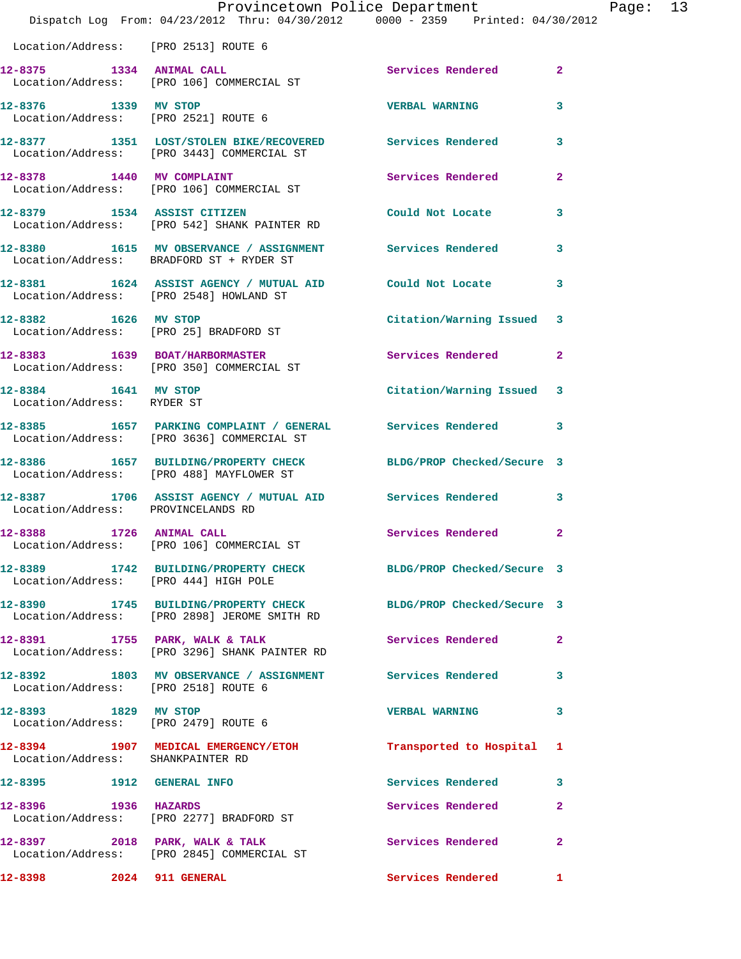|                                                    | Dispatch Log From: 04/23/2012 Thru: 04/30/2012 0000 - 2359 Printed: 04/30/2012                                  | Provincetown Police Department |              | Page: 13 |
|----------------------------------------------------|-----------------------------------------------------------------------------------------------------------------|--------------------------------|--------------|----------|
| Location/Address: [PRO 2513] ROUTE 6               |                                                                                                                 |                                |              |          |
|                                                    | 12-8375 1334 ANIMAL CALL<br>Location/Address: [PRO 106] COMMERCIAL ST                                           | Services Rendered 2            |              |          |
| Location/Address: [PRO 2521] ROUTE 6               | 12-8376 1339 MV STOP                                                                                            | <b>VERBAL WARNING</b>          | 3            |          |
|                                                    | 12-8377 1351 LOST/STOLEN BIKE/RECOVERED Services Rendered 3<br>Location/Address: [PRO 3443] COMMERCIAL ST       |                                |              |          |
|                                                    | 12-8378 1440 MV COMPLAINT<br>Location/Address: [PRO 106] COMMERCIAL ST                                          | Services Rendered              | $\mathbf{2}$ |          |
|                                                    | 12-8379 1534 ASSIST CITIZEN<br>Location/Address: [PRO 542] SHANK PAINTER RD                                     | Could Not Locate               | 3            |          |
|                                                    | 12-8380 1615 MV OBSERVANCE / ASSIGNMENT Services Rendered 3<br>Location/Address: BRADFORD ST + RYDER ST         |                                |              |          |
|                                                    | 12-8381 1624 ASSIST AGENCY / MUTUAL AID Could Not Locate<br>Location/Address: [PRO 2548] HOWLAND ST             |                                | 3            |          |
|                                                    | 12-8382 1626 MV STOP<br>Location/Address: [PRO 25] BRADFORD ST                                                  | Citation/Warning Issued 3      |              |          |
|                                                    | 12-8383 1639 BOAT/HARBORMASTER<br>Location/Address: [PRO 350] COMMERCIAL ST                                     | Services Rendered              | $\mathbf{2}$ |          |
| 12-8384 1641 MV STOP<br>Location/Address: RYDER ST |                                                                                                                 | Citation/Warning Issued 3      |              |          |
|                                                    | 12-8385 1657 PARKING COMPLAINT / GENERAL Services Rendered<br>Location/Address: [PRO 3636] COMMERCIAL ST        |                                | 3            |          |
|                                                    | 12-8386 1657 BUILDING/PROPERTY CHECK BLDG/PROP Checked/Secure 3<br>Location/Address: [PRO 488] MAYFLOWER ST     |                                |              |          |
| Location/Address: PROVINCELANDS RD                 | 12-8387 1706 ASSIST AGENCY / MUTUAL AID Services Rendered 3                                                     |                                |              |          |
| 12-8388                                            | 1726 ANIMAL CALL<br>Location/Address: [PRO 106] COMMERCIAL ST                                                   | Services Rendered 2            |              |          |
|                                                    | 12-8389 1742 BUILDING/PROPERTY CHECK BLDG/PROP Checked/Secure 3<br>Location/Address: [PRO 444] HIGH POLE        |                                |              |          |
|                                                    | 12-8390 1745 BUILDING/PROPERTY CHECK BLDG/PROP Checked/Secure 3<br>Location/Address: [PRO 2898] JEROME SMITH RD |                                |              |          |
|                                                    | 12-8391 1755 PARK, WALK & TALK 1999 Services Rendered<br>Location/Address: [PRO 3296] SHANK PAINTER RD          |                                | $\mathbf{2}$ |          |
| Location/Address: [PRO 2518] ROUTE 6               | 12-8392 1803 MV OBSERVANCE / ASSIGNMENT Services Rendered 3                                                     |                                |              |          |
|                                                    | 12-8393 1829 MV STOP<br>Location/Address: [PRO 2479] ROUTE 6                                                    | <b>VERBAL WARNING</b>          | 3            |          |
| Location/Address: SHANKPAINTER RD                  | 12-8394 1907 MEDICAL EMERGENCY/ETOH                                                                             | Transported to Hospital 1      |              |          |
|                                                    |                                                                                                                 | Services Rendered 3            |              |          |
| 12-8396 1936 HAZARDS                               | Location/Address: [PRO 2277] BRADFORD ST                                                                        | Services Rendered              | $\mathbf{2}$ |          |
|                                                    | 12-8397 2018 PARK, WALK & TALK<br>Location/Address: [PRO 2845] COMMERCIAL ST                                    | Services Rendered              | -2           |          |
| 12-8398 2024 911 GENERAL                           |                                                                                                                 | <b>Services Rendered</b> 1     |              |          |
|                                                    |                                                                                                                 |                                |              |          |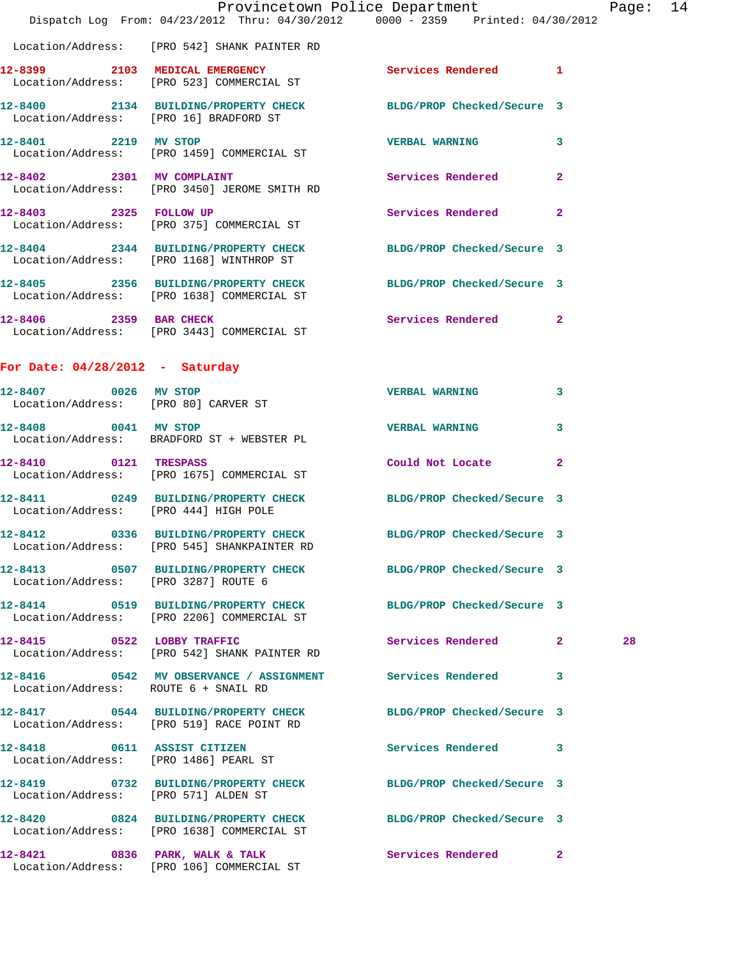|                                       | Dispatch Log From: 04/23/2012 Thru: 04/30/2012 0000 - 2359 Printed: 04/30/2012                                 | Provincetown Police Department |   | Page: 14 |  |
|---------------------------------------|----------------------------------------------------------------------------------------------------------------|--------------------------------|---|----------|--|
|                                       | Location/Address: [PRO 542] SHANK PAINTER RD                                                                   |                                |   |          |  |
|                                       | 12-8399 2103 MEDICAL EMERGENCY Services Rendered 1<br>Location/Address: [PRO 523] COMMERCIAL ST                |                                |   |          |  |
|                                       | 12-8400 2134 BUILDING/PROPERTY CHECK BLDG/PROP Checked/Secure 3<br>Location/Address: [PRO 16] BRADFORD ST      |                                |   |          |  |
|                                       | 12-8401 2219 MV STOP<br>Location/Address: [PRO 1459] COMMERCIAL ST                                             | VERBAL WARNING 3               |   |          |  |
|                                       | 12-8402 2301 MV COMPLAINT<br>Location/Address: [PRO 3450] JEROME SMITH RD                                      | Services Rendered 2            |   |          |  |
|                                       | 12-8403 2325 FOLLOW UP<br>Location/Address: [PRO 375] COMMERCIAL ST                                            | Services Rendered 2            |   |          |  |
|                                       | 12-8404 2344 BUILDING/PROPERTY CHECK BLDG/PROP Checked/Secure 3<br>Location/Address: [PRO 1168] WINTHROP ST    |                                |   |          |  |
|                                       | 12-8405 2356 BUILDING/PROPERTY CHECK BLDG/PROP Checked/Secure 3<br>Location/Address: [PRO 1638] COMMERCIAL ST  |                                |   |          |  |
| 12-8406 2359 BAR CHECK                | Location/Address: [PRO 3443] COMMERCIAL ST                                                                     | Services Rendered 2            |   |          |  |
| For Date: $04/28/2012$ - Saturday     |                                                                                                                |                                |   |          |  |
| 12-8407 0026 MV STOP                  | Location/Address: [PRO 80] CARVER ST                                                                           | <b>VERBAL WARNING</b>          | 3 |          |  |
|                                       | 12-8408 0041 MV STOP<br>Location/Address: BRADFORD ST + WEBSTER PL                                             | <b>VERBAL WARNING</b>          | 3 |          |  |
| 12-8410 0121 TRESPASS                 | Location/Address: [PRO 1675] COMMERCIAL ST                                                                     | Could Not Locate 2             |   |          |  |
| Location/Address: [PRO 444] HIGH POLE | 12-8411 0249 BUILDING/PROPERTY CHECK BLDG/PROP Checked/Secure 3                                                |                                |   |          |  |
|                                       | 12-8412 0336 BUILDING/PROPERTY CHECK BLDG/PROP Checked/Secure 3<br>Location/Address: [PRO 545] SHANKPAINTER RD |                                |   |          |  |
| Location/Address: [PRO 3287] ROUTE 6  | 12-8413 0507 BUILDING/PROPERTY CHECK BLDG/PROP Checked/Secure 3                                                |                                |   |          |  |
|                                       | 12-8414 0519 BUILDING/PROPERTY CHECK BLDG/PROP Checked/Secure 3<br>Location/Address: [PRO 2206] COMMERCIAL ST  |                                |   |          |  |
|                                       | 12-8415 0522 LOBBY TRAFFIC<br>Location/Address: [PRO 542] SHANK PAINTER RD                                     | Services Rendered 2            |   | 28       |  |
| Location/Address: ROUTE 6 + SNAIL RD  | 12-8416 0542 MV OBSERVANCE / ASSIGNMENT Services Rendered 3                                                    |                                |   |          |  |
|                                       | 12-8417 0544 BUILDING/PROPERTY CHECK BLDG/PROP Checked/Secure 3<br>Location/Address: [PRO 519] RACE POINT RD   |                                |   |          |  |
|                                       | 12-8418 0611 ASSIST CITIZEN<br>Location/Address: [PRO 1486] PEARL ST                                           | Services Rendered 3            |   |          |  |
| Location/Address: [PRO 571] ALDEN ST  | 12-8419 0732 BUILDING/PROPERTY CHECK BLDG/PROP Checked/Secure 3                                                |                                |   |          |  |
|                                       | 12-8420 0824 BUILDING/PROPERTY CHECK BLDG/PROP Checked/Secure 3<br>Location/Address: [PRO 1638] COMMERCIAL ST  |                                |   |          |  |
|                                       | 12-8421 0836 PARK, WALK & TALK 3ervices Rendered 2                                                             |                                |   |          |  |

Location/Address: [PRO 106] COMMERCIAL ST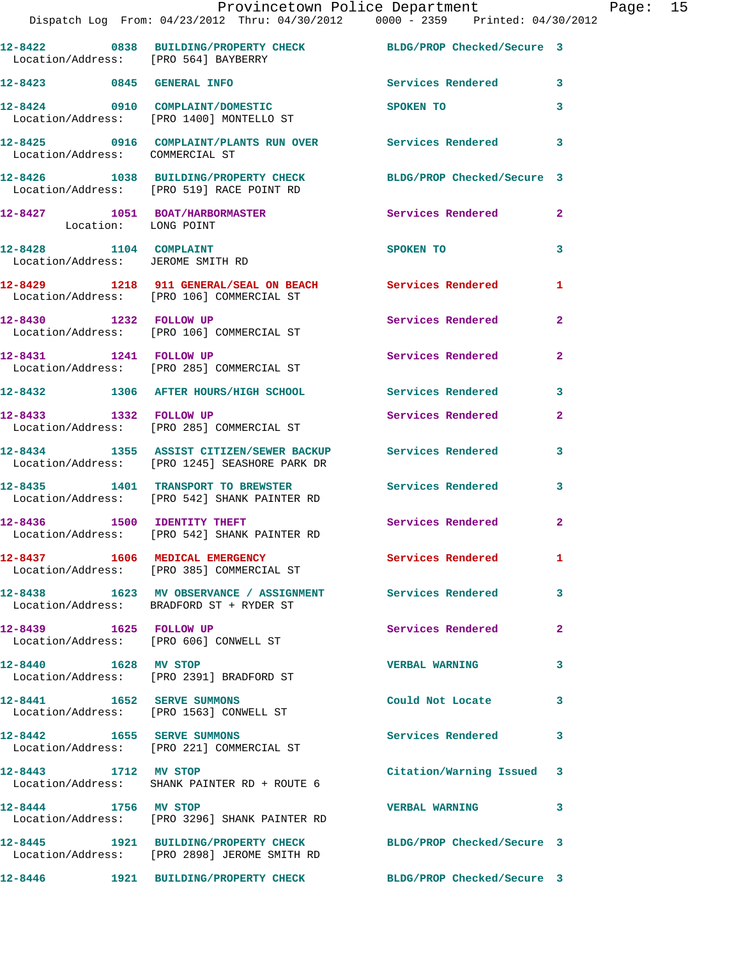|                                                             | Provincetown Police Department<br>Dispatch Log From: 04/23/2012 Thru: 04/30/2012 0000 - 2359 Printed: 04/30/2012 |                            |                |
|-------------------------------------------------------------|------------------------------------------------------------------------------------------------------------------|----------------------------|----------------|
| Location/Address: [PRO 564] BAYBERRY                        | 12-8422 0838 BUILDING/PROPERTY CHECK BLDG/PROP Checked/Secure 3                                                  |                            |                |
|                                                             | 12-8423 0845 GENERAL INFO                                                                                        | Services Rendered 3        |                |
|                                                             | 12-8424 0910 COMPLAINT/DOMESTIC<br>Location/Address: [PRO 1400] MONTELLO ST                                      | SPOKEN TO                  | 3              |
| Location/Address: COMMERCIAL ST                             | 12-8425 0916 COMPLAINT/PLANTS RUN OVER Services Rendered 3                                                       |                            |                |
|                                                             | 12-8426 1038 BUILDING/PROPERTY CHECK<br>Location/Address: [PRO 519] RACE POINT RD                                | BLDG/PROP Checked/Secure 3 |                |
| Location: LONG POINT                                        | 12-8427 1051 BOAT/HARBORMASTER Services Rendered 2                                                               |                            |                |
| 12-8428 1104 COMPLAINT<br>Location/Address: JEROME SMITH RD |                                                                                                                  | SPOKEN TO                  | 3              |
|                                                             | 12-8429 1218 911 GENERAL/SEAL ON BEACH<br>Location/Address: [PRO 106] COMMERCIAL ST                              |                            | 1              |
|                                                             | 12-8430 1232 FOLLOW UP<br>Location/Address: [PRO 106] COMMERCIAL ST                                              | Services Rendered          | $\overline{2}$ |
|                                                             | 12-8431 1241 FOLLOW UP<br>Location/Address: [PRO 285] COMMERCIAL ST                                              | Services Rendered          | $\mathbf{2}$   |
|                                                             | 12-8432 1306 AFTER HOURS/HIGH SCHOOL                                                                             | Services Rendered          | 3              |
| 12-8433 1332 FOLLOW UP                                      | Location/Address: [PRO 285] COMMERCIAL ST                                                                        | Services Rendered          | $\mathbf{2}$   |
|                                                             | 12-8434 1355 ASSIST CITIZEN/SEWER BACKUP Services Rendered<br>Location/Address: [PRO 1245] SEASHORE PARK DR      |                            | 3              |
|                                                             | 12-8435 1401 TRANSPORT TO BREWSTER<br>Location/Address: [PRO 542] SHANK PAINTER RD                               | Services Rendered          | 3              |
|                                                             | 12-8436 1500 IDENTITY THEFT<br>Location/Address: [PRO 542] SHANK PAINTER RD                                      | Services Rendered          | $\mathbf{2}$   |
|                                                             | 12-8437 1606 MEDICAL EMERGENCY<br>Location/Address: [PRO 385] COMMERCIAL ST                                      | <b>Services Rendered</b>   | 1              |
|                                                             | 12-8438 1623 MV OBSERVANCE / ASSIGNMENT Services Rendered<br>Location/Address: BRADFORD ST + RYDER ST            |                            | 3              |
| 12-8439   1625   FOLLOW UP                                  | Location/Address: [PRO 606] CONWELL ST                                                                           | Services Rendered          | $\overline{2}$ |
| 12-8440 1628 MV STOP                                        | Location/Address: [PRO 2391] BRADFORD ST                                                                         | <b>VERBAL WARNING</b>      | 3              |
| 12-8441 1652 SERVE SUMMONS                                  | Location/Address: [PRO 1563] CONWELL ST                                                                          | Could Not Locate           | 3              |
|                                                             | 12-8442 1655 SERVE SUMMONS<br>Location/Address: [PRO 221] COMMERCIAL ST                                          | Services Rendered          | 3              |
| 12-8443 1712 MV STOP                                        | Location/Address: SHANK PAINTER RD + ROUTE 6                                                                     | Citation/Warning Issued 3  |                |
| 12-8444 1756 MV STOP                                        | Location/Address: [PRO 3296] SHANK PAINTER RD                                                                    | <b>VERBAL WARNING</b>      | 3              |
|                                                             | 12-8445 1921 BUILDING/PROPERTY CHECK<br>Location/Address: [PRO 2898] JEROME SMITH RD                             | BLDG/PROP Checked/Secure 3 |                |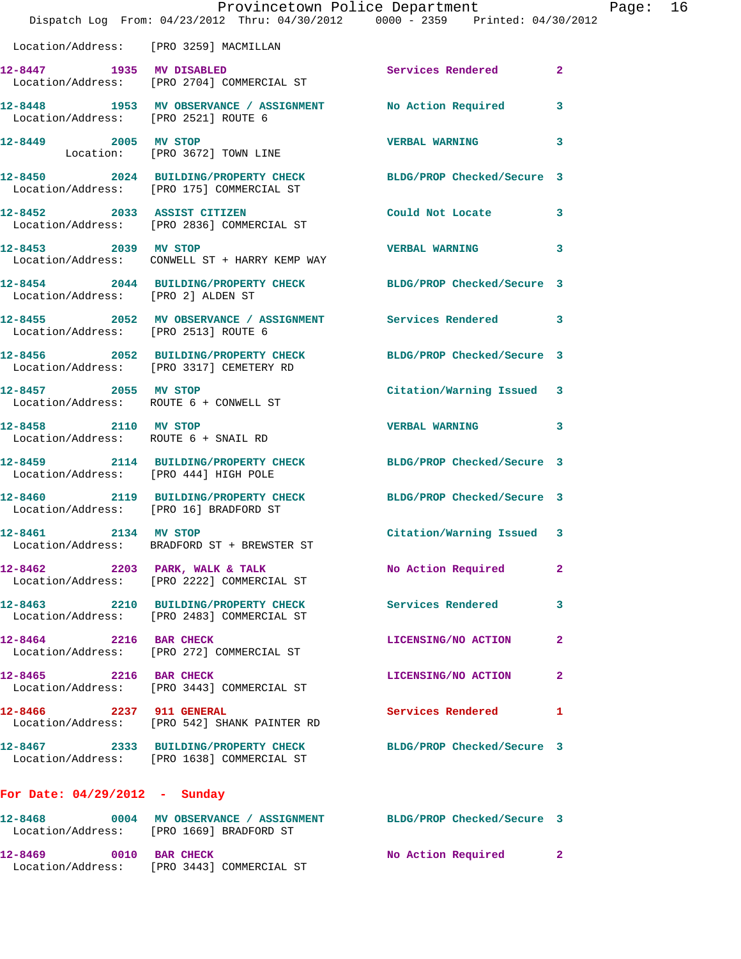|                                          | Provincetown Police Department<br>Dispatch Log From: 04/23/2012 Thru: 04/30/2012 0000 - 2359 Printed: 04/30/2012 |                            |                         |
|------------------------------------------|------------------------------------------------------------------------------------------------------------------|----------------------------|-------------------------|
|                                          |                                                                                                                  |                            |                         |
| Location/Address: [PRO 3259] MACMILLAN   |                                                                                                                  |                            |                         |
|                                          | 12-8447 1935 MV DISABLED<br>Location/Address: [PRO 2704] COMMERCIAL ST                                           | Services Rendered          | $\overline{2}$          |
| Location/Address: [PRO 2521] ROUTE 6     | 12-8448 1953 MV OBSERVANCE / ASSIGNMENT                                                                          | No Action Required         | 3                       |
| 12-8449 2005 MV STOP                     | Location: [PRO 3672] TOWN LINE                                                                                   | <b>VERBAL WARNING</b>      | 3                       |
|                                          | 12-8450 2024 BUILDING/PROPERTY CHECK BLDG/PROP Checked/Secure 3<br>Location/Address: [PRO 175] COMMERCIAL ST     |                            |                         |
| 12-8452 2033 ASSIST CITIZEN              | Location/Address: [PRO 2836] COMMERCIAL ST                                                                       | Could Not Locate           | 3                       |
| 12-8453 2039 MV STOP                     | Location/Address: CONWELL ST + HARRY KEMP WAY                                                                    | <b>VERBAL WARNING</b>      | 3                       |
| Location/Address: [PRO 2] ALDEN ST       | 12-8454 2044 BUILDING/PROPERTY CHECK BLDG/PROP Checked/Secure 3                                                  |                            |                         |
| Location/Address: [PRO 2513] ROUTE 6     | 12-8455 2052 MV OBSERVANCE / ASSIGNMENT Services Rendered                                                        |                            | 3                       |
|                                          | 12-8456 2052 BUILDING/PROPERTY CHECK<br>Location/Address: [PRO 3317] CEMETERY RD                                 | BLDG/PROP Checked/Secure 3 |                         |
| 12-8457 2055 MV STOP                     | Location/Address: ROUTE 6 + CONWELL ST                                                                           | Citation/Warning Issued    | 3                       |
| 12-8458 2110 MV STOP                     | Location/Address: ROUTE 6 + SNAIL RD                                                                             | <b>VERBAL WARNING</b>      | 3                       |
| Location/Address: [PRO 444] HIGH POLE    | 12-8459 2114 BUILDING/PROPERTY CHECK                                                                             | BLDG/PROP Checked/Secure 3 |                         |
| Location/Address: [PRO 16] BRADFORD ST   | 12-8460 2119 BUILDING/PROPERTY CHECK BLDG/PROP Checked/Secure 3                                                  |                            |                         |
| 12-8461                                  | 2134 MV STOP<br>Location/Address: BRADFORD ST + BREWSTER ST                                                      | Citation/Warning Issued    | $\overline{\mathbf{3}}$ |
|                                          | $12-8462$ 2203 PARK, WALK & TALK<br>Location/Address: [PRO 2222] COMMERCIAL ST                                   | No Action Required         | $\mathbf{2}$            |
|                                          | 12-8463 2210 BUILDING/PROPERTY CHECK<br>Location/Address: [PRO 2483] COMMERCIAL ST                               | Services Rendered          | 3                       |
| 12-8464 2216 BAR CHECK                   | Location/Address: [PRO 272] COMMERCIAL ST                                                                        | LICENSING/NO ACTION        | $\mathbf{2}$            |
| 12-8465 2216 BAR CHECK                   | Location/Address: [PRO 3443] COMMERCIAL ST                                                                       | LICENSING/NO ACTION        | 2                       |
| 12-8466 2237 911 GENERAL                 | Location/Address: [PRO 542] SHANK PAINTER RD                                                                     | Services Rendered          | 1                       |
|                                          | 12-8467 2333 BUILDING/PROPERTY CHECK<br>Location/Address: [PRO 1638] COMMERCIAL ST                               | BLDG/PROP Checked/Secure 3 |                         |
| For Date: $04/29/2012$ - Sunday          |                                                                                                                  |                            |                         |
| Location/Address: [PRO 1669] BRADFORD ST | 12-8468 60004 MV OBSERVANCE / ASSIGNMENT BLDG/PROP Checked/Secure 3                                              |                            |                         |
| 12-8469<br>0010 BAR CHECK                |                                                                                                                  | No Action Required         | 2 <sup>1</sup>          |

Location/Address: [PRO 3443] COMMERCIAL ST

Page:  $16$ <br>012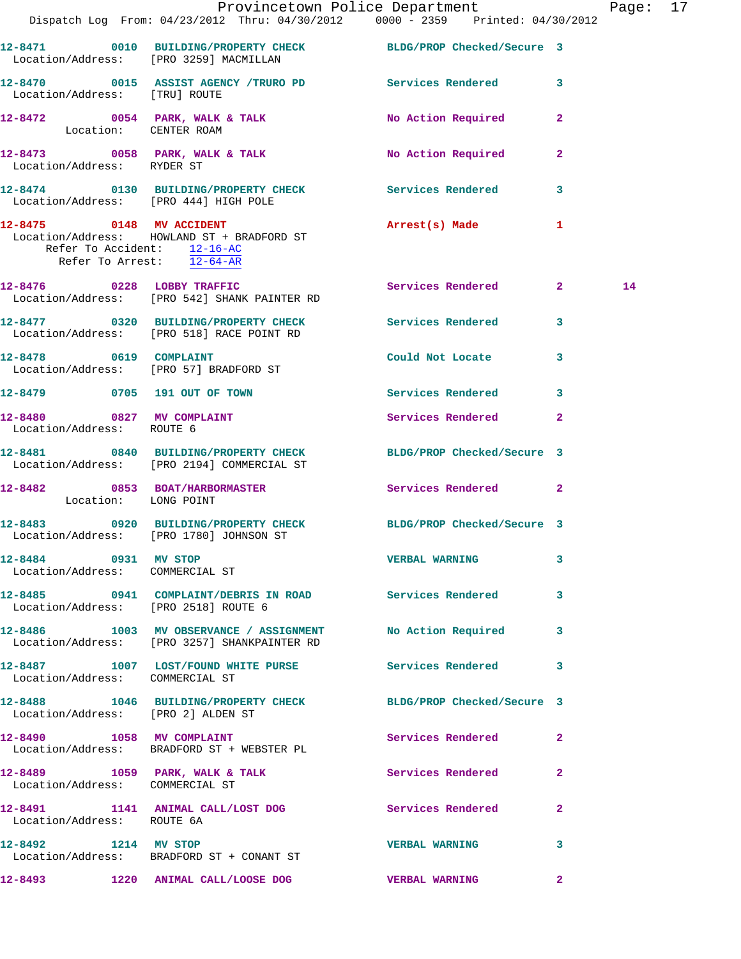|                                                        | Provincetown Police Department                                                                                |                       |              | Page: 17 |  |
|--------------------------------------------------------|---------------------------------------------------------------------------------------------------------------|-----------------------|--------------|----------|--|
|                                                        | Dispatch Log From: 04/23/2012 Thru: 04/30/2012 0000 - 2359 Printed: 04/30/2012                                |                       |              |          |  |
|                                                        | 12-8471   0010 BUILDING/PROPERTY CHECK BLDG/PROP Checked/Secure 3<br>Location/Address: [PRO 3259] MACMILLAN   |                       |              |          |  |
| Location/Address: [TRU] ROUTE                          | 12-8470 0015 ASSIST AGENCY /TRURO PD Services Rendered 3                                                      |                       |              |          |  |
|                                                        | 12-8472 0054 PARK, WALK & TALK No Action Required 2<br>Location: CENTER ROAM                                  |                       |              |          |  |
|                                                        | 12-8473 0058 PARK, WALK & TALK No Action Required 2<br>Location/Address: RYDER ST                             |                       |              |          |  |
| Location/Address: [PRO 444] HIGH POLE                  | 12-8474 0130 BUILDING/PROPERTY CHECK Services Rendered 3                                                      |                       |              |          |  |
| Refer To Accident: $\frac{12-16-AC}{12-64-AR}$         | 12-8475 0148 MV ACCIDENT<br>Location/Address: HOWLAND ST + BRADFORD ST                                        | Arrest(s) Made 1      |              |          |  |
|                                                        | 12-8476 0228 LOBBY TRAFFIC<br>Location/Address: [PRO 542] SHANK PAINTER RD                                    | Services Rendered 2   |              | 14       |  |
|                                                        | 12-8477 0320 BUILDING/PROPERTY CHECK Services Rendered 3<br>Location/Address: [PRO 518] RACE POINT RD         |                       |              |          |  |
|                                                        | 12-8478 0619 COMPLAINT<br>Location/Address: [PRO 57] BRADFORD ST                                              | Could Not Locate      | $\mathbf{3}$ |          |  |
|                                                        | 12-8479 0705 191 OUT OF TOWN                                                                                  | Services Rendered 3   |              |          |  |
| 12-8480 0827 MV COMPLAINT<br>Location/Address: ROUTE 6 |                                                                                                               | Services Rendered 2   |              |          |  |
|                                                        | 12-8481 0840 BUILDING/PROPERTY CHECK BLDG/PROP Checked/Secure 3<br>Location/Address: [PRO 2194] COMMERCIAL ST |                       |              |          |  |
| Location: LONG POINT                                   | 12-8482 0853 BOAT/HARBORMASTER Services Rendered 2                                                            |                       |              |          |  |
|                                                        | 12-8483 0920 BUILDING/PROPERTY CHECK BLDG/PROP Checked/Secure 3<br>Location/Address: [PRO 1780] JOHNSON ST    |                       |              |          |  |
| 12-8484 0931 MV STOP                                   | Location/Address: COMMERCIAL ST                                                                               | <b>VERBAL WARNING</b> | $\mathbf{3}$ |          |  |
| Location/Address: [PRO 2518] ROUTE 6                   | 12-8485 0941 COMPLAINT/DEBRIS IN ROAD Services Rendered 3                                                     |                       |              |          |  |
|                                                        | 12-8486 1003 MV OBSERVANCE / ASSIGNMENT No Action Required 3<br>Location/Address: [PRO 3257] SHANKPAINTER RD  |                       |              |          |  |
| Location/Address: COMMERCIAL ST                        | 12-8487 1007 LOST/FOUND WHITE PURSE Services Rendered                                                         |                       | 3            |          |  |
| Location/Address: [PRO 2] ALDEN ST                     | 12-8488 1046 BUILDING/PROPERTY CHECK BLDG/PROP Checked/Secure 3                                               |                       |              |          |  |
|                                                        | 12-8490 1058 MV COMPLAINT<br>Location/Address: BRADFORD ST + WEBSTER PL                                       | Services Rendered 2   |              |          |  |
| Location/Address: COMMERCIAL ST                        | 12-8489 1059 PARK, WALK & TALK 1999 Services Rendered 2                                                       |                       |              |          |  |
| Location/Address: ROUTE 6A                             | 12-8491 1141 ANIMAL CALL/LOST DOG Services Rendered 2                                                         |                       |              |          |  |
| 12-8492 1214 MV STOP                                   | Location/Address: BRADFORD ST + CONANT ST                                                                     | <b>VERBAL WARNING</b> | 3            |          |  |
|                                                        | 12-8493 1220 ANIMAL CALL/LOOSE DOG VERBAL WARNING                                                             |                       | $\mathbf{2}$ |          |  |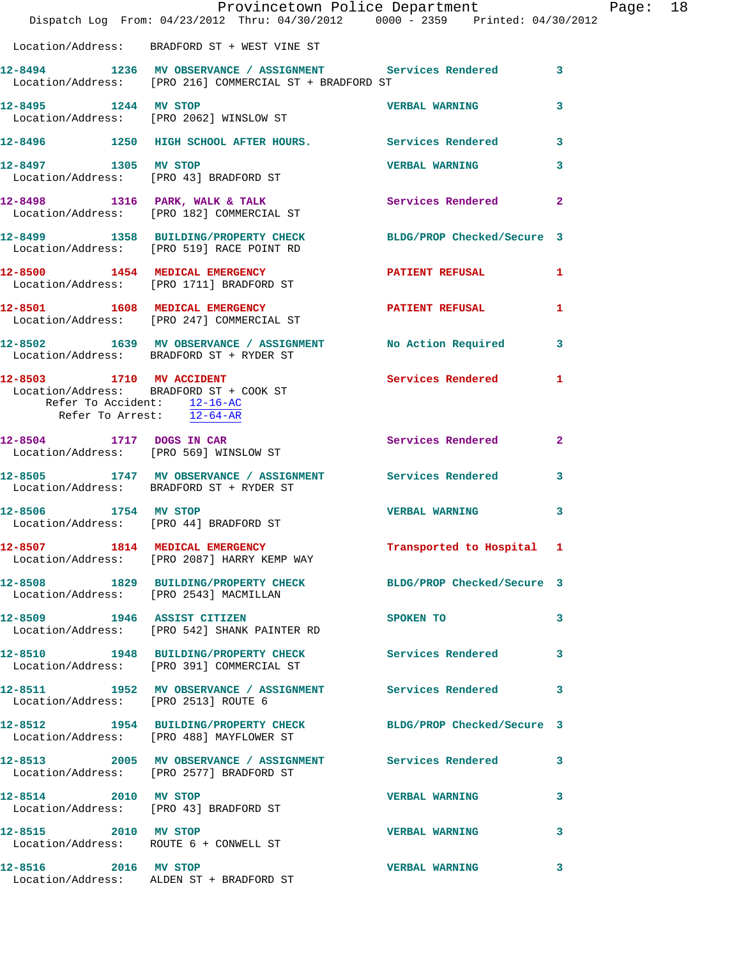|                                                          | Dispatch Log From: 04/23/2012 Thru: 04/30/2012 0000 - 2359 Printed: 04/30/2012                                         | Provincetown Police Department Page: 18 |              |  |
|----------------------------------------------------------|------------------------------------------------------------------------------------------------------------------------|-----------------------------------------|--------------|--|
|                                                          | Location/Address: BRADFORD ST + WEST VINE ST                                                                           |                                         |              |  |
|                                                          | 12-8494 1236 MV OBSERVANCE / ASSIGNMENT Services Rendered 3<br>Location/Address: [PRO 216] COMMERCIAL ST + BRADFORD ST |                                         |              |  |
|                                                          | 12-8495 1244 MV STOP VERBAL WARNING<br>Location/Address: [PRO 2062] WINSLOW ST                                         |                                         | 3            |  |
|                                                          | 12-8496 1250 HIGH SCHOOL AFTER HOURS. Services Rendered 3                                                              |                                         |              |  |
|                                                          | 12-8497 1305 MV STOP<br>Location/Address: [PRO 43] BRADFORD ST                                                         | <b>VERBAL WARNING</b>                   | 3            |  |
|                                                          | 12-8498 1316 PARK, WALK & TALK Services Rendered 2<br>Location/Address: [PRO 182] COMMERCIAL ST                        |                                         |              |  |
|                                                          | 12-8499 1358 BUILDING/PROPERTY CHECK BLDG/PROP Checked/Secure 3<br>Location/Address: [PRO 519] RACE POINT RD           |                                         |              |  |
|                                                          | 12-8500 1454 MEDICAL EMERGENCY PATIENT REFUSAL 1<br>Location/Address: [PRO 1711] BRADFORD ST                           |                                         |              |  |
|                                                          | 12-8501 1608 MEDICAL EMERGENCY PATIENT REFUSAL<br>Location/Address: [PRO 247] COMMERCIAL ST                            |                                         | 1            |  |
|                                                          | 12-8502 1639 MV OBSERVANCE / ASSIGNMENT No Action Required 3<br>Location/Address: BRADFORD ST + RYDER ST               |                                         |              |  |
| Refer To Accident: 12-16-AC<br>Refer To Arrest: 12-64-AR | 12-8503 1710 MV ACCIDENT<br>Location/Address: BRADFORD ST + COOK ST                                                    | Services Rendered 1                     |              |  |
|                                                          | 12-8504 1717 DOGS IN CAR<br>Location/Address: [PRO 569] WINSLOW ST                                                     | Services Rendered                       | $\mathbf{2}$ |  |
|                                                          | 12-8505 1747 MV OBSERVANCE / ASSIGNMENT Services Rendered 3<br>Location/Address: BRADFORD ST + RYDER ST                |                                         |              |  |
|                                                          | 12-8506 1754 MV STOP<br>Location/Address: [PRO 44] BRADFORD ST                                                         | <b>VERBAL WARNING</b>                   | 3            |  |
|                                                          | 12-8507 1814 MEDICAL EMERGENCY<br>Location/Address: [PRO 2087] HARRY KEMP WAY                                          | Transported to Hospital 1               |              |  |
| Location/Address: [PRO 2543] MACMILLAN                   | 12-8508 1829 BUILDING/PROPERTY CHECK BLDG/PROP Checked/Secure 3                                                        |                                         |              |  |
|                                                          | 12-8509 1946 ASSIST CITIZEN<br>Location/Address: [PRO 542] SHANK PAINTER RD                                            | SPOKEN TO                               | 3            |  |
|                                                          | 12-8510 1948 BUILDING/PROPERTY CHECK Services Rendered<br>Location/Address: [PRO 391] COMMERCIAL ST                    |                                         | 3            |  |
| Location/Address: [PRO 2513] ROUTE 6                     | 12-8511 1952 MV OBSERVANCE / ASSIGNMENT Services Rendered 3                                                            |                                         |              |  |
|                                                          | 12-8512 1954 BUILDING/PROPERTY CHECK BLDG/PROP Checked/Secure 3<br>Location/Address: [PRO 488] MAYFLOWER ST            |                                         |              |  |
|                                                          | 12-8513 2005 MV OBSERVANCE / ASSIGNMENT Services Rendered 3<br>Location/Address: [PRO 2577] BRADFORD ST                |                                         |              |  |
|                                                          | 12-8514 2010 MV STOP<br>Location/Address: [PRO 43] BRADFORD ST                                                         | <b>VERBAL WARNING</b>                   | 3            |  |
| 12-8515 2010 MV STOP                                     | Location/Address: ROUTE 6 + CONWELL ST                                                                                 | <b>VERBAL WARNING</b>                   | 3            |  |
| 12-8516 2016 MV STOP                                     | Location/Address: ALDEN ST + BRADFORD ST                                                                               | <b>VERBAL WARNING</b>                   | 3            |  |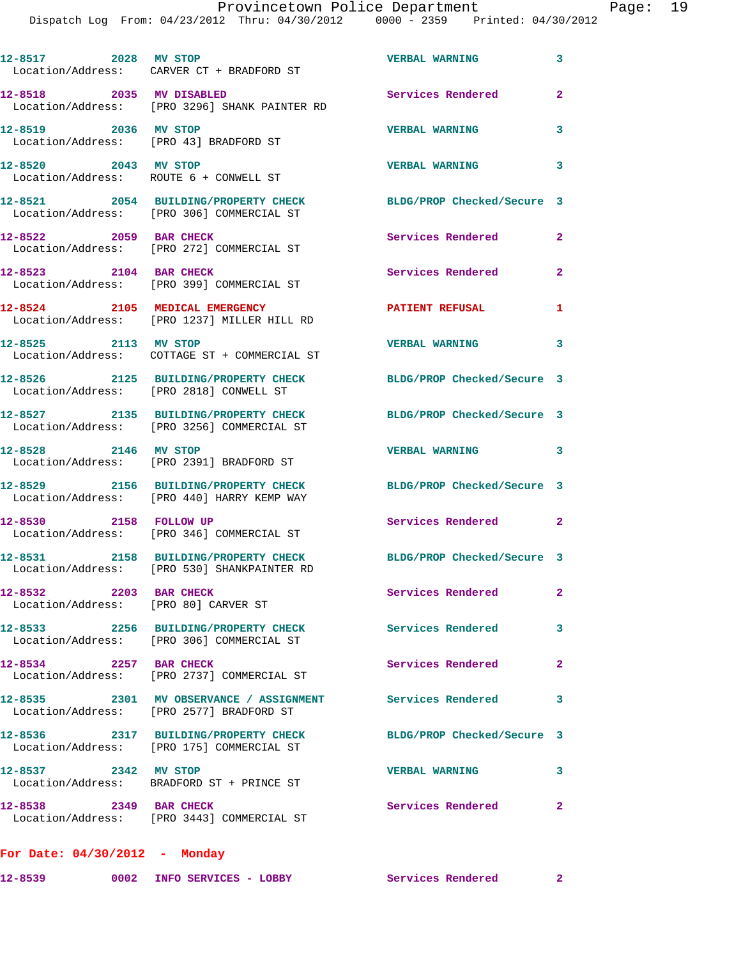| 12-8517 2028 MV STOP                                           | Location/Address: CARVER CT + BRADFORD ST                                                             | <b>VERBAL WARNING</b>      | $\mathbf{3}$             |
|----------------------------------------------------------------|-------------------------------------------------------------------------------------------------------|----------------------------|--------------------------|
| 12-8518 2035 MV DISABLED                                       | Location/Address: [PRO 3296] SHANK PAINTER RD                                                         | Services Rendered          | $\overline{2}$           |
| 12-8519 2036 MV STOP                                           | Location/Address: [PRO 43] BRADFORD ST                                                                | <b>VERBAL WARNING</b>      | 3                        |
| 12-8520 2043 MV STOP                                           | Location/Address: ROUTE 6 + CONWELL ST                                                                | <b>VERBAL WARNING</b>      | 3                        |
|                                                                | 12-8521 2054 BUILDING/PROPERTY CHECK<br>Location/Address: [PRO 306] COMMERCIAL ST                     | BLDG/PROP Checked/Secure 3 |                          |
| 12-8522 2059 BAR CHECK                                         | Location/Address: [PRO 272] COMMERCIAL ST                                                             | Services Rendered          | $\mathbf{2}$             |
| 12-8523 2104 BAR CHECK                                         | Location/Address: [PRO 399] COMMERCIAL ST                                                             | <b>Services Rendered</b>   | $\overline{2}$           |
|                                                                | 12-8524 2105 MEDICAL EMERGENCY<br>Location/Address: [PRO 1237] MILLER HILL RD                         | <b>PATIENT REFUSAL</b>     | 1                        |
| 12-8525 2113 MV STOP                                           | Location/Address: COTTAGE ST + COMMERCIAL ST                                                          | <b>VERBAL WARNING</b>      | $\overline{\phantom{a}}$ |
|                                                                | 12-8526 2125 BUILDING/PROPERTY CHECK<br>Location/Address: [PRO 2818] CONWELL ST                       | BLDG/PROP Checked/Secure 3 |                          |
|                                                                | 12-8527 2135 BUILDING/PROPERTY CHECK<br>Location/Address: [PRO 3256] COMMERCIAL ST                    | BLDG/PROP Checked/Secure 3 |                          |
| 12-8528 2146 MV STOP                                           | Location/Address: [PRO 2391] BRADFORD ST                                                              | <b>VERBAL WARNING</b>      | 3                        |
|                                                                | 12-8529 2156 BUILDING/PROPERTY CHECK<br>Location/Address: [PRO 440] HARRY KEMP WAY                    | BLDG/PROP Checked/Secure 3 |                          |
| 12-8530 2158 FOLLOW UP                                         | Location/Address: [PRO 346] COMMERCIAL ST                                                             | Services Rendered 2        |                          |
|                                                                | 12-8531 2158 BUILDING/PROPERTY CHECK<br>Location/Address: [PRO 530] SHANKPAINTER RD                   | BLDG/PROP Checked/Secure 3 |                          |
| 12-8532 2203 BAR CHECK<br>Location/Address: [PRO 80] CARVER ST |                                                                                                       | Services Rendered          | $\mathbf{2}$             |
|                                                                | 12-8533 2256 BUILDING/PROPERTY CHECK<br>Location/Address: [PRO 306] COMMERCIAL ST                     | <b>Services Rendered</b>   | 3                        |
| 12-8534 2257 BAR CHECK                                         | Location/Address: [PRO 2737] COMMERCIAL ST                                                            | Services Rendered          | $\mathbf{2}$             |
|                                                                | 12-8535 2301 MV OBSERVANCE / ASSIGNMENT Services Rendered<br>Location/Address: [PRO 2577] BRADFORD ST |                            | $\mathbf{3}$             |
|                                                                | 12-8536 2317 BUILDING/PROPERTY CHECK<br>Location/Address: [PRO 175] COMMERCIAL ST                     | BLDG/PROP Checked/Secure 3 |                          |
| 12-8537 2342 MV STOP                                           | Location/Address: BRADFORD ST + PRINCE ST                                                             | <b>VERBAL WARNING</b>      | $\mathbf{3}$             |
|                                                                | 12-8538 2349 BAR CHECK<br>Location/Address: [PRO 3443] COMMERCIAL ST                                  | <b>Services Rendered</b> 2 |                          |
| For Date: $04/30/2012$ - Monday                                |                                                                                                       |                            |                          |

**12-8539 0002 INFO SERVICES - LOBBY Services Rendered 2**